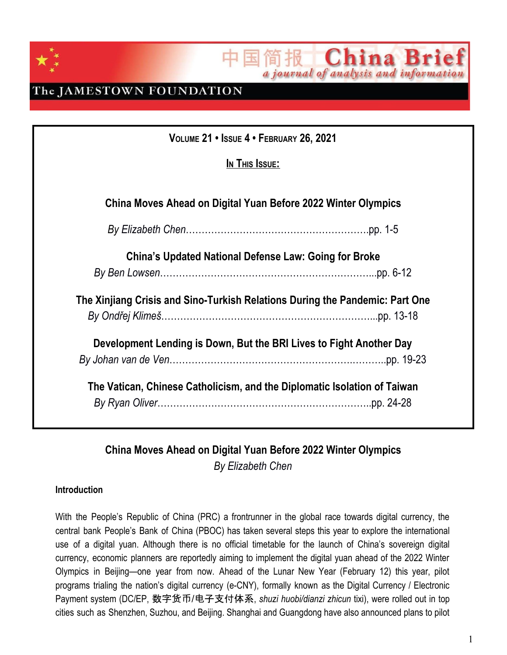

The JAMESTOWN FOUNDATION

| VOLUME 21 . ISSUE 4 . FEBRUARY 26, 2021                                      |  |
|------------------------------------------------------------------------------|--|
| In This Issue:                                                               |  |
| China Moves Ahead on Digital Yuan Before 2022 Winter Olympics                |  |
|                                                                              |  |
| <b>China's Updated National Defense Law: Going for Broke</b>                 |  |
|                                                                              |  |
| The Xinjiang Crisis and Sino-Turkish Relations During the Pandemic: Part One |  |
|                                                                              |  |
| Development Lending is Down, But the BRI Lives to Fight Another Day          |  |
|                                                                              |  |
| The Vatican, Chinese Catholicism, and the Diplomatic Isolation of Taiwan     |  |

**China Bri** 

a journal of analysis and information

十位

### **China Moves Ahead on Digital Yuan Before 2022 Winter Olympics** *By Elizabeth Chen*

### **Introduction**

With the People's Republic of China (PRC) a frontrunner in the global race towards digital currency, the central bank People's Bank of China (PBOC) has taken several steps this year to explore the international use of a digital yuan. Although there is no official timetable for the launch of China's sovereign digital currency, economic planners are reportedly aiming to implement the digital yuan ahead of the 2022 Winter Olympics in Beijing—one year from now. Ahead of the Lunar New Year (February 12) this year, pilot programs trialing the nation's digital currency (e-CNY), formally known as the Digital Currency / Electronic Payment system (DC/EP, 数字货币/电子支付体系, *shuzi huobi/dianzi zhicun* tixi), were rolled out in top cities such as Shenzhen, Suzhou, and Beijing. Shanghai and Guangdong have also announced plans to pilot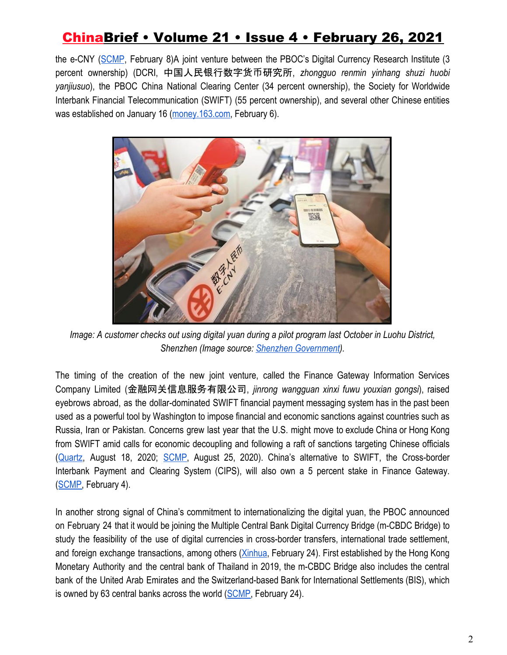the e-CNY ([SCMP](https://www.scmp.com/economy/china-economy/article/3120955/china-digital-currency-beijing-suzhou-confirm-latest-trials-e), February 8)A joint venture between the PBOC's Digital Currency Research Institute (3 percent ownership) (DCRI, 中国人民银行数字货币研究所, *zhongguo renmin yinhang shuzi huobi yanjiusuo*), the PBOC China National Clearing Center (34 percent ownership), the Society for Worldwide Interbank Financial Telecommunication (SWIFT) (55 percent ownership), and several other Chinese entities was established on January 16 [\(money.163.com](https://money.163.com/21/0206/10/G258GICT00259FVR.html), February 6).



*Image: A customer checks out using digital yuan during a pilot program last October in Luohu District, Shenzhen (Image source: [Shenzhen Government](http://www.sz.gov.cn/cn/xxgk/zfxxgj/tpxw/content/post_8178133.html)).*

The timing of the creation of the new joint venture, called the Finance Gateway Information Services Company Limited (金融网关信息服务有限公司, *jinrong wangguan xinxi fuwu youxian gongsi*), raised eyebrows abroad, as the dollar-dominated SWIFT financial payment messaging system has in the past been used as a powerful tool by Washington to impose financial and economic sanctions against countries such as Russia, Iran or Pakistan. Concerns grew last year that the U.S. might move to exclude China or Hong Kong from SWIFT amid calls for economic decoupling and following a raft of sanctions targeting Chinese officials [\(Quartz,](https://qz.com/1893235/swift-transfer-system-leaves-china-vulnerable-to-us-sanctions/) August 18, 2020; [SCMP,](https://www.scmp.com/economy/china-economy/article/3098691/how-us-uses-dollar-payments-system-impose-sanctions-global) August 25, 2020). China's alternative to SWIFT, the Cross-border Interbank Payment and Clearing System (CIPS), will also own a 5 percent stake in Finance Gateway. [\(SCMP,](https://www.scmp.com/economy/china-economy/article/3120582/chinas-swift-joint-venture-shows-beijing-eyeing-global) February 4).

In another strong signal of China's commitment to internationalizing the digital yuan, the PBOC announced on February 24 that it would be joining the Multiple Central Bank Digital Currency Bridge (m-CBDC Bridge) to study the feasibility of the use of digital currencies in cross-border transfers, international trade settlement, and foreign exchange transactions, among others [\(Xinhua](http://www.xinhuanet.com/english/2021-02/24/c_139764111.htm), February 24). First established by the Hong Kong Monetary Authority and the central bank of Thailand in 2019, the m-CBDC Bridge also includes the central bank of the United Arab Emirates and the Switzerland-based Bank for International Settlements (BIS), which is owned by 63 central banks across the world [\(SCMP,](https://www.scmp.com/tech/policy/article/3122924/beijing-exploring-digital-yuan-cross-border-payments-joining-hong-kong) February 24).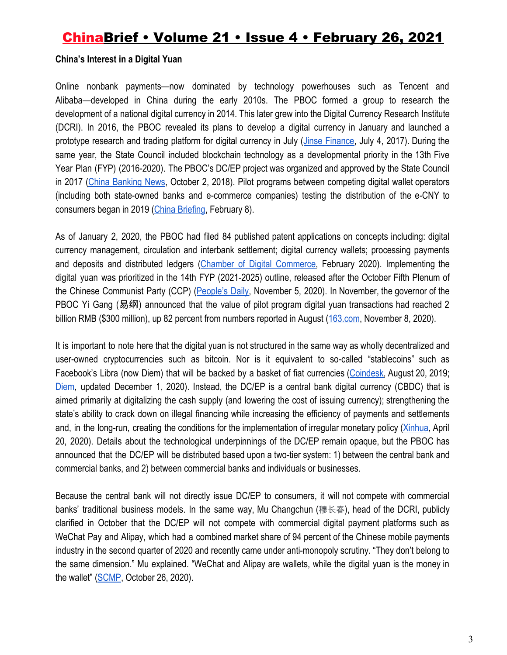#### **China's Interest in a Digital Yuan**

Online nonbank payments—now dominated by technology powerhouses such as Tencent and Alibaba—developed in China during the early 2010s. The PBOC formed a group to research the development of a national digital currency in 2014. This later grew into the Digital Currency Research Institute (DCRI). In 2016, the PBOC revealed its plans to develop a digital currency in January and launched a prototype research and trading platform for digital currency in July (Jinse [Finance](https://www.jinse.com/bitcoin/39792.html), July 4, 2017). During the same year, the State Council included blockchain technology as a developmental priority in the 13th Five Year Plan (FYP) (2016-2020). The PBOC's DC/EP project was organized and approved by the State Council in 2017 (China [Banking](https://www.chinabankingnews.com/wiki/digital-currency-research-institute-peoples-bank-china/) News, October 2, 2018). Pilot programs between competing digital wallet operators (including both state-owned banks and e-commerce companies) testing the distribution of the e-CNY to consumers began in 2019 [\(China Briefing](https://www.china-briefing.com/news/beijing-to-give-away-us1-55-million-in-rmb200-digital-yuan-on-wednesday-for-chinese-new-year/), February 8).

As of January 2, 2020, the PBOC had filed 84 published patent applications on concepts including: digital currency management, circulation and interbank settlement; digital currency wallets; processing payments and deposits and distributed ledgers (Chamber of Digital [Commerce,](https://digitalchamber.s3.amazonaws.com/Blockchain-The-Breakthrough-Technology-of-the-Decade-and-How-china-is-Leading-the-Way.pdf) February 2020). Implementing the digital yuan was prioritized in the 14th FYP (2021-2025) outline, released after the October Fifth Plenum of the Chinese Communist Party (CCP) ([People's](http://blockchain.people.com.cn/n1/2020/1105/c417685-31920146.html) Daily, November 5, 2020). In November, the governor of the PBOC Yi Gang (易纲) announced that the value of pilot program digital yuan transactions had reached 2 billion RMB (\$300 million), up 82 percent from numbers reported in August ([163.com](https://www.163.com/dy/article/FQS4LMA505311MNW.html), November 8, 2020).

It is important to note here that the digital yuan is not structured in the same way as wholly decentralized and user-owned cryptocurrencies such as bitcoin. Nor is it equivalent to so-called "stablecoins" such as Facebook's Libra (now Diem) that will be backed by a basket of fiat currencies [\(Coindesk,](https://www.coindesk.com/central-banks-stablecoins-and-the-looming-war-of-currencies) August 20, 2019[;](https://www.diem.com/en-us/white-paper/#the-libra-blockchain) [Diem,](https://www.diem.com/en-us/white-paper/#the-libra-blockchain) updated December 1, 2020). Instead, the DC/EP is a central bank digital currency (CBDC) that is aimed primarily at digitalizing the cash supply (and lowering the cost of issuing currency); strengthening the state's ability to crack down on illegal financing while increasing the efficiency of payments and settlements and, in the long-run, creating the conditions for the implementation of irregular monetary policy ([Xinhua,](http://www.xinhuanet.com/fortune/2020-04/20/c_1125879464.htm) April 20, 2020). Details about the technological underpinnings of the DC/EP remain opaque, but the PBOC has announced that the DC/EP will be distributed based upon a two-tier system: 1) between the central bank and commercial banks, and 2) between commercial banks and individuals or businesses.

Because the central bank will not directly issue DC/EP to consumers, it will not compete with commercial banks' traditional business models. In the same way, Mu Changchun (穆长春), head of the DCRI, publicly clarified in October that the DC/EP will not compete with commercial digital payment platforms such as WeChat Pay and Alipay, which had a combined market share of 94 percent of the Chinese mobile payments industry in the second quarter of 2020 and recently came under anti-monopoly scrutiny. "They don't belong to the same dimension." Mu explained. "WeChat and Alipay are wallets, while the digital yuan is the money in the wallet" ([SCMP](https://www.scmp.com/tech/policy/article/3107074/chinas-digital-currency-will-not-compete-mobile-payment-apps-wechat-and), October 26, 2020).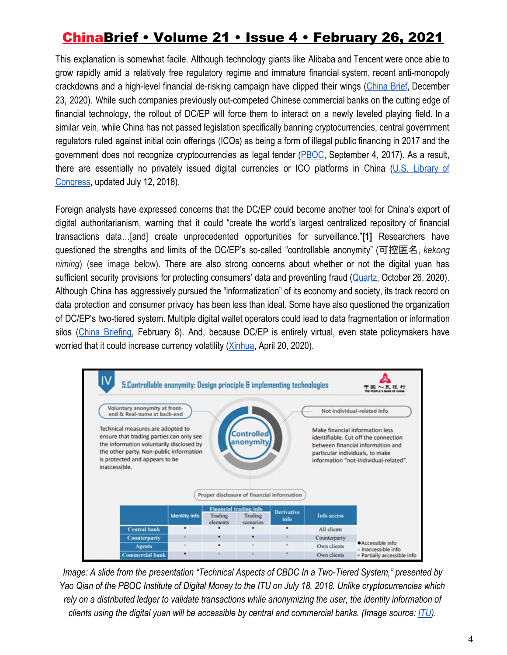This explanation is somewhat facile. Although technology giants like Alibaba and Tencent were once able to grow rapidly amid a relatively free regulatory regime and immature financial system, recent anti-monopoly crackdowns and a high-level financial de-risking campaign have clipped their wings [\(China](https://jamestown.org/program/understanding-the-financial-picture-behind-ants-ipo-suspension/) Brief, December 23, 2020). While such companies previously out-competed Chinese commercial banks on the cutting edge of financial technology, the rollout of DC/EP will force them to interact on a newly leveled playing field. In a similar vein, while China has not passed legislation specifically banning cryptocurrencies, central government regulators ruled against initial coin offerings (ICOs) as being a form of illegal public financing in 2017 and the government does not recognize cryptocurrencies as legal tender ([PBOC,](http://www.pbc.gov.cn/goutongjiaoliu/113456/113469/3374222/index.html) September 4, 2017). As a result, there are essentially no privately issued digital currencies or ICO platforms in China (U.S. [Library](https://www.loc.gov/law/help/cryptocurrency/china.php#_ftn6) of [Congress](https://www.loc.gov/law/help/cryptocurrency/china.php#_ftn6), updated July 12, 2018).

Foreign analysts have expressed concerns that the DC/EP could become another tool for China's export of digital authoritarianism, warning that it could "create the world's largest centralized repository of financial transactions data…[and] create unprecedented opportunities for surveillance."**[1]** Researchers have questioned the strengths and limits of the DC/EP's so-called "controllable anonymity" (可控匿名, *kekong niming*) (see image below). There are also strong concerns about whether or not the digital yuan has sufficient security provisions for protecting consumers' data and preventing fraud ([Quartz](https://qz.com/1922648/there-are-already-counterfeit-wallets-of-chinas-digital-yuan/), October 26, 2020). Although China has aggressively pursued the "informatization" of its economy and society, its track record on data protection and consumer privacy has been less than ideal. Some have also questioned the organization of DC/EP's two-tiered system. Multiple digital wallet operators could lead to data fragmentation or information silos (China [Briefing,](https://www.china-briefing.com/news/beijing-to-give-away-us1-55-million-in-rmb200-digital-yuan-on-wednesday-for-chinese-new-year/) February 8). And, because DC/EP is entirely virtual, even state policymakers have worried that it could increase currency volatility ([Xinhua](http://www.xinhuanet.com/fortune/2020-04/20/c_1125879464.htm), April 20, 2020).



*Image: A slide from the presentation "Technical Aspects of CBDC In a Two-Tiered System," presented by Yao Qian of the PBOC Institute of Digital Money to the ITU on July 18, 2018. Unlike cryptocurrencies which rely on a distributed ledger to validate transactions while anonymizing the user, the identity information of clients using the digital yuan will be accessible by central and commercial banks. (Image source[:](https://www.itu.int/en/ITU-T/Workshops-and-Seminars/20180718/Documents/Yao%20Qian.pdf) [ITU\)](https://www.itu.int/en/ITU-T/Workshops-and-Seminars/20180718/Documents/Yao%20Qian.pdf).*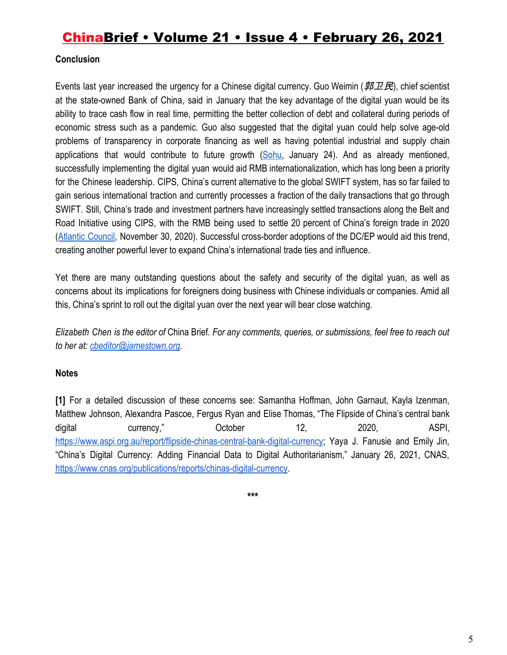### **Conclusion**

Events last year increased the urgency for a Chinese digital currency. Guo Weimin ( $\cancel{BDE}$ ), chief scientist at the state-owned Bank of China, said in January that the key advantage of the digital yuan would be its ability to trace cash flow in real time, permitting the better collection of debt and collateral during periods of economic stress such as a pandemic. Guo also suggested that the digital yuan could help solve age-old problems of transparency in corporate financing as well as having potential industrial and supply chain applications that would contribute to future growth [\(Sohu](https://www.sohu.com/a/446499975_114988), January 24). And as already mentioned, successfully implementing the digital yuan would aid RMB internationalization, which has long been a priority for the Chinese leadership. CIPS, China's current alternative to the global SWIFT system, has so far failed to gain serious international traction and currently processes a fraction of the daily transactions that go through SWIFT. Still, China's trade and investment partners have increasingly settled transactions along the Belt and Road Initiative using CIPS, with the RMB being used to settle 20 percent of China's foreign trade in 2020 (Atlantic [Council,](https://www.atlanticcouncil.org/blogs/new-atlanticist/can-chinas-digital-yuan-really-challenge-the-dollar/) November 30, 2020). Successful cross-border adoptions of the DC/EP would aid this trend, creating another powerful lever to expand China's international trade ties and influence.

Yet there are many outstanding questions about the safety and security of the digital yuan, as well as concerns about its implications for foreigners doing business with Chinese individuals or companies. Amid all this, China's sprint to roll out the digital yuan over the next year will bear close watching.

Elizabeth Chen is the editor of China Brief. For any comments, queries, or submissions, feel free to reach out *to her at: [cbeditor@jamestown.org.](mailto:cbeditor@jamestown.org)*

### **Notes**

**[1]** For a detailed discussion of these concerns see: Samantha Hoffman, John Garnaut, Kayla Izenman, Matthew Johnson, Alexandra Pascoe, Fergus Ryan and Elise Thomas, "The Flipside of China's central bank digital currency," October 12, 2020, ASPI[,](https://www.aspi.org.au/report/flipside-chinas-central-bank-digital-currency) <https://www.aspi.org.au/report/flipside-chinas-central-bank-digital-currency>; Yaya J. Fanusie and Emily Jin, "China's Digital Currency: Adding Financial Data to Digital Authoritarianism," January 26, 2021, CNAS, <https://www.cnas.org/publications/reports/chinas-digital-currency>.

**\*\*\***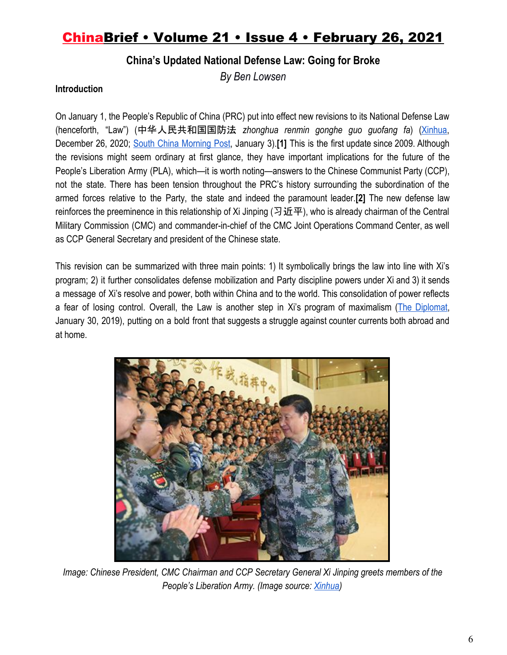### **China's Updated National Defense Law: Going for Broke**

*By Ben Lowsen*

#### **Introduction**

On January 1, the People's Republic of China (PRC) put into effect new revisions to its National Defense Law (henceforth, "Law") (中华人民共和国国防法 *zhonghua renmin gonghe guo guofang fa*) [\(Xinhua](http://www.xinhuanet.com/2020-12/27/c_1126911647.htm), December 26, 2020; South China [Morning](https://www.scmp.com/news/china/military/article/3115988/chinas-military-takes-charge-war-powers-new-defence-law?utm_source=Sailthru&utm_medium=email&utm_campaign=EBB%2001.04.20&utm_term=Editorial%20-%20Military%20-%20Early%20Bird%20Brief) Post, January 3).**[1]** This is the first update since 2009. Although the revisions might seem ordinary at first glance, they have important implications for the future of the People's Liberation Army (PLA), which—it is worth noting—answers to the Chinese Communist Party (CCP), not the state. There has been tension throughout the PRC's history surrounding the subordination of the armed forces relative to the Party, the state and indeed the paramount leader.**[2]** The new defense law reinforces the preeminence in this relationship of Xi Jinping ( $\Im$ 近平), who is already chairman of the Central Military Commission (CMC) and commander-in-chief of the CMC Joint Operations Command Center, as well as CCP General Secretary and president of the Chinese state.

This revision can be summarized with three main points: 1) It symbolically brings the law into line with Xi's program; 2) it further consolidates defense mobilization and Party discipline powers under Xi and 3) it sends a message of Xi's resolve and power, both within China and to the world. This consolidation of power reflects a fear of losing control. Overall, the Law is another step in Xi's program of maximalism (The [Diplomat,](https://thediplomat.com/2019/01/chinas-new-maximalism-in-three-slogans/) January 30, 2019), putting on a bold front that suggests a struggle against counter currents both abroad and at home.



*Image: Chinese President, CMC Chairman and CCP Secretary General Xi Jinping greets members of the People's Liberation Army. (Image source: [Xinhua\)](https://www.chinadaily.com.cn/china/images/attachement/jpg/site1/20160421/b083fe96fac2188286a52c.jpg)*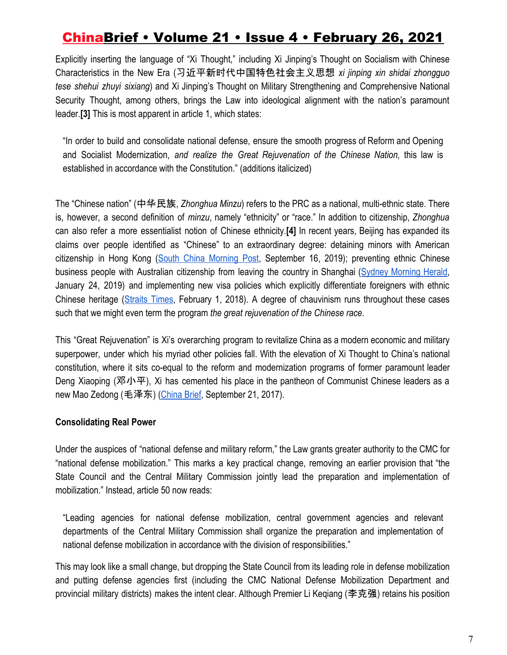Explicitly inserting the language of "Xi Thought," including Xi Jinping's Thought on Socialism with Chinese Characteristics in the New Era (习近平新时代中国特色社会主义思想 *xi jinping xin shidai zhongguo tese shehui zhuyi sixiang*) and Xi Jinping's Thought on Military Strengthening and Comprehensive National Security Thought, among others, brings the Law into ideological alignment with the nation's paramount leader.**[3]** This is most apparent in article 1, which states:

"In order to build and consolidate national defense, ensure the smooth progress of Reform and Opening and Socialist Modernization, *and realize the Great Rejuvenation of the Chinese Nation,* this law is established in accordance with the Constitution." (additions italicized)

The "Chinese nation" (中华民族, *Zhonghua Minzu*) refers to the PRC as a national, multi-ethnic state. There is, however, a second definition of *minzu*, namely "ethnicity" or "race." In addition to citizenship, *Zhonghua* can also refer a more essentialist notion of Chinese ethnicity.**[4]** In recent years, Beijing has expanded its claims over people identified as "Chinese" to an extraordinary degree: detaining minors with American citizenship in Hong Kong (South China [Morning](https://www.scmp.com/news/china/diplomacy/article/3027365/american-siblings-victor-and-cynthia-liu-barred-leaving-china) Post, September 16, 2019); preventing ethnic Chinese business people with Australian citizenship from leaving the country in Shanghai (Sydney [Morning](https://www.smh.com.au/world/asia/detention-of-an-australian-in-china-is-canberra-s-worst-nightmare-20190123-p50t3f.html) Herald, January 24, 2019) and implementing new visa policies which explicitly differentiate foreigners with ethnic Chinese heritage ([Straits](https://www.straitstimes.com/asia/east-asia/china-to-issue-5-year-visas-for-foreigners-of-chinese-origin) Times, February 1, 2018). A degree of chauvinism runs throughout these cases such that we might even term the program *the great rejuvenation of the Chinese race*.

This "Great Rejuvenation" is Xi's overarching program to revitalize China as a modern economic and military superpower, under which his myriad other policies fall. With the elevation of Xi Thought to China's national constitution, where it sits co-equal to the reform and modernization programs of former paramount leader Deng Xiaoping (邓小平), Xi has cemented his place in the pantheon of Communist Chinese leaders as a new Mao Zedong (毛泽东) [\(China Brief](https://jamestown.org/program/what-is-xi-jinping-thought/), September 21, 2017).

#### **Consolidating Real Power**

Under the auspices of "national defense and military reform," the Law grants greater authority to the CMC for "national defense mobilization." This marks a key practical change, removing an earlier provision that "the State Council and the Central Military Commission jointly lead the preparation and implementation of mobilization." Instead, article 50 now reads:

"Leading agencies for national defense mobilization, central government agencies and relevant departments of the Central Military Commission shall organize the preparation and implementation of national defense mobilization in accordance with the division of responsibilities."

This may look like a small change, but dropping the State Council from its leading role in defense mobilization and putting defense agencies first (including the CMC National Defense Mobilization Department and provincial military districts) makes the intent clear. Although Premier Li Keqiang (李克强) retains his position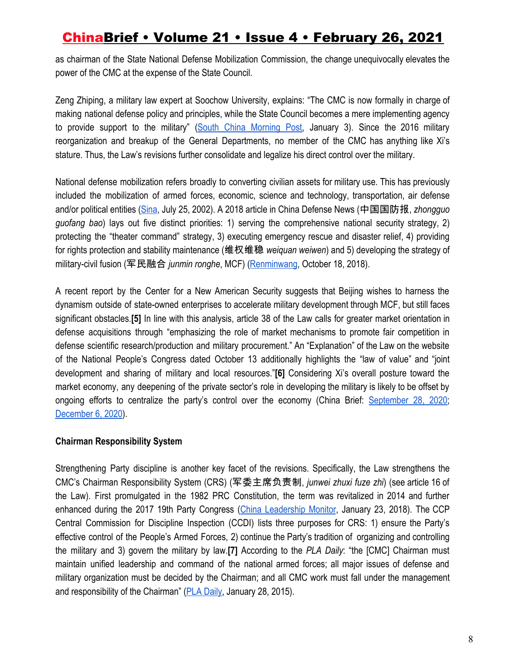as chairman of the State National Defense Mobilization Commission, the change unequivocally elevates the power of the CMC at the expense of the State Council.

Zeng Zhiping, a military law expert at Soochow University, explains: "The CMC is now formally in charge of making national defense policy and principles, while the State Council becomes a mere implementing agency to provide support to the military" (South China [Morning](https://www.scmp.com/news/china/military/article/3115988/chinas-military-takes-charge-war-powers-new-defence-law) Post, January 3). Since the 2016 military reorganization and breakup of the General Departments, no member of the CMC has anything like Xi's stature. Thus, the Law's revisions further consolidate and legalize his direct control over the military.

National defense mobilization refers broadly to converting civilian assets for military use. This has previously included the mobilization of armed forces, economic, science and technology, transportation, air defense and/or political entities [\(Sina](http://mil.news.sina.com.cn/2002-07-25/76324.html), July 25, 2002). A 2018 article in China Defense News (中国国防报, *zhongguo guofang bao*) lays out five distinct priorities: 1) serving the comprehensive national security strategy, 2) protecting the "theater command" strategy, 3) executing emergency rescue and disaster relief, 4) providing for rights protection and stability maintenance (维权维稳 *weiquan weiwen*) and 5) developing the strategy of military-civil fusion (军民融合 *junmin ronghe*, MCF) ([Renminwang](http://military.people.com.cn/n1/2018/1018/c1011-30348364.html), October 18, 2018).

A recent report by the Center for a New American Security suggests that Beijing wishes to harness the dynamism outside of state-owned enterprises to accelerate military development through MCF, but still faces significant obstacles.**[5]** In line with this analysis, article 38 of the Law calls for greater market orientation in defense acquisitions through "emphasizing the role of market mechanisms to promote fair competition in defense scientific research/production and military procurement." An "Explanation" of the Law on the website of the National People's Congress dated October 13 additionally highlights the "law of value" and "joint development and sharing of military and local resources."**[6]** Considering Xi's overall posture toward the market economy, any deepening of the private sector's role in developing the military is likely to be offset by ongoing efforts to centralize the party's control over the economy (China Brief: [September](https://jamestown.org/program/the-ccps-new-directives-for-united-front-work-in-private-enterprises/) 28, 2020[;](https://jamestown.org/program/dual-circulations-implementation-necessitates-a-crackdown-on-fintech/) [December 6, 2020\)](https://jamestown.org/program/dual-circulations-implementation-necessitates-a-crackdown-on-fintech/).

#### **Chairman Responsibility System**

Strengthening Party discipline is another key facet of the revisions. Specifically, the Law strengthens the CMC's Chairman Responsibility System (CRS) (军委主席负责制, *junwei zhuxi fuze zhi*) (see article 16 of the Law). First promulgated in the 1982 PRC Constitution, the term was revitalized in 2014 and further enhanced during the 2017 19th Party Congress (China [Leadership](https://www.hoover.org/research/cult-xi-and-rise-cmc-chairman-responsibility-system) Monitor, January 23, 2018). The CCP Central Commission for Discipline Inspection (CCDI) lists three purposes for CRS: 1) ensure the Party's effective control of the People's Armed Forces, 2) continue the Party's tradition of organizing and controlling the military and 3) govern the military by law.**[7]** According to the *PLA Daily*: "the [CMC] Chairman must maintain unified leadership and command of the national armed forces; all major issues of defense and military organization must be decided by the Chairman; and all CMC work must fall under the management and responsibility of the Chairman" ([PLA Daily](http://military.people.com.cn/n/2015/0128/c1011-26461017.html), January 28, 2015).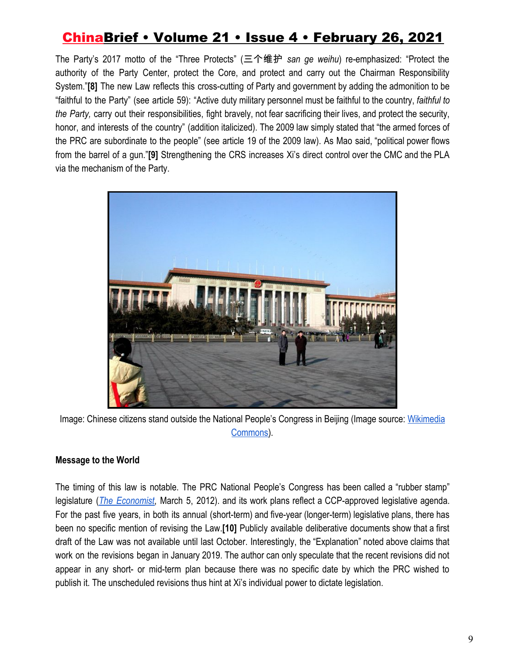The Party's 2017 motto of the "Three Protects" (三个维护 *san ge weihu*) re-emphasized: "Protect the authority of the Party Center, protect the Core, and protect and carry out the Chairman Responsibility System."**[8]** The new Law reflects this cross-cutting of Party and government by adding the admonition to be "faithful to the Party" (see article 59): "Active duty military personnel must be faithful to the country, *faithful to the Party,* carry out their responsibilities, fight bravely, not fear sacrificing their lives, and protect the security, honor, and interests of the country" (addition italicized). The 2009 law simply stated that "the armed forces of the PRC are subordinate to the people" (see article 19 of the 2009 law). As Mao said, "political power flows from the barrel of a gun."**[9]** Strengthening the CRS increases Xi's direct control over the CMC and the PLA via the mechanism of the Party.



Image: Chinese citizens stand outside the National People's Congress in Beijing (Image source: [Wikimedia](https://commons.wikimedia.org/wiki/File:National_People%27s_Congress.JPG) [Commons](https://commons.wikimedia.org/wiki/File:National_People%27s_Congress.JPG)).

### **Message to the World**

The timing of this law is notable. The PRC National People's Congress has been called a "rubber stamp" legislature (*The [Economist](https://www.economist.com/analects/2012/03/05/what-makes-a-rubber-stamp)*, March 5, 2012). and its work plans reflect a CCP-approved legislative agenda. For the past five years, in both its annual (short-term) and five-year (longer-term) legislative plans, there has been no specific mention of revising the Law.**[10]** Publicly available deliberative documents show that a first draft of the Law was not available until last October. Interestingly, the "Explanation" noted above claims that work on the revisions began in January 2019. The author can only speculate that the recent revisions did not appear in any short- or mid-term plan because there was no specific date by which the PRC wished to publish it. The unscheduled revisions thus hint at Xi's individual power to dictate legislation.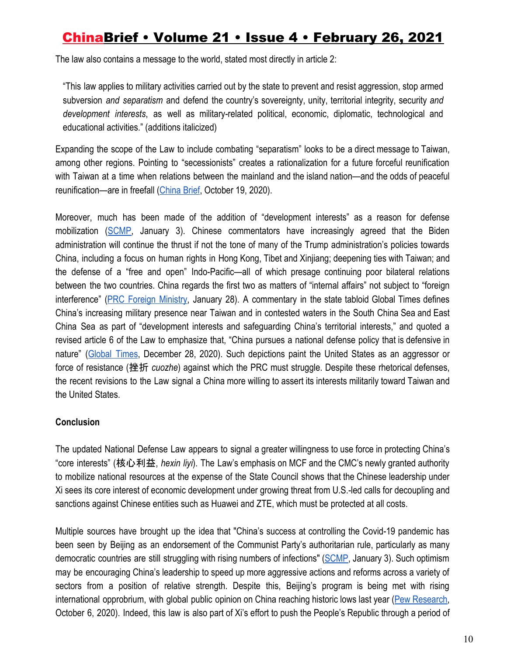The law also contains a message to the world, stated most directly in article 2:

"This law applies to military activities carried out by the state to prevent and resist aggression, stop armed subversion *and separatism* and defend the country's sovereignty, unity, territorial integrity, security *and development interests*, as well as military-related political, economic, diplomatic, technological and educational activities." (additions italicized)

Expanding the scope of the Law to include combating "separatism" looks to be a direct message to Taiwan, among other regions. Pointing to "secessionists" creates a rationalization for a future forceful reunification with Taiwan at a time when relations between the mainland and the island nation—and the odds of peaceful reunification—are in freefall ([China Brief,](https://jamestown.org/program/taiwan-opinion-polling-on-unification-with-china/) October 19, 2020).

Moreover, much has been made of the addition of "development interests" as a reason for defense mobilization [\(SCMP,](https://www.scmp.com/news/china/military/article/3115988/chinas-military-takes-charge-war-powers-new-defence-law) January 3). Chinese commentators have increasingly agreed that the Biden administration will continue the thrust if not the tone of many of the Trump administration's policies towards China, including a focus on human rights in Hong Kong, Tibet and Xinjiang; deepening ties with Taiwan; and the defense of a "free and open" Indo-Pacific—all of which presage continuing poor bilateral relations between the two countries. China regards the first two as matters of "internal affairs" not subject to "foreign interference" (PRC Foreign [Ministry](https://www.fmprc.gov.cn/mfa_eng/xwfw_665399/s2510_665401/2511_665403/t1849185.shtml), January 28). A commentary in the state tabloid Global Times defines China's increasing military presence near Taiwan and in contested waters in the South China Sea and East China Sea as part of "development interests and safeguarding China's territorial interests," and quoted a revised article 6 of the Law to emphasize that, "China pursues a national defense policy that is defensive in nature" [\(Global](https://www.globaltimes.cn/page/202012/1211278.shtml) Times, December 28, 2020). Such depictions paint the United States as an aggressor or force of resistance (挫折 *cuozhe*) against which the PRC must struggle. Despite these rhetorical defenses, the recent revisions to the Law signal a China more willing to assert its interests militarily toward Taiwan and the United States.

#### **Conclusion**

The updated National Defense Law appears to signal a greater willingness to use force in protecting China's "core interests" (核心利益, *hexin liyi*). The Law's emphasis on MCF and the CMC's newly granted authority to mobilize national resources at the expense of the State Council shows that the Chinese leadership under Xi sees its core interest of economic development under growing threat from U.S.-led calls for decoupling and sanctions against Chinese entities such as Huawei and ZTE, which must be protected at all costs.

Multiple sources have brought up the idea that "China's success at controlling the Covid-19 pandemic has been seen by Beijing as an endorsement of the Communist Party's authoritarian rule, particularly as many democratic countries are still struggling with rising numbers of infections" [\(SCMP,](https://www.scmp.com/news/china/military/article/3115988/chinas-military-takes-charge-war-powers-new-defence-law) January 3). Such optimism may be encouraging China's leadership to speed up more aggressive actions and reforms across a variety of sectors from a position of relative strength. Despite this, Beijing's program is being met with rising international opprobrium, with global public opinion on China reaching historic lows last year (Pew [Research,](https://www.pewresearch.org/global/2020/10/06/unfavorable-views-of-china-reach-historic-highs-in-many-countries/) October 6, 2020). Indeed, this law is also part of Xi's effort to push the People's Republic through a period of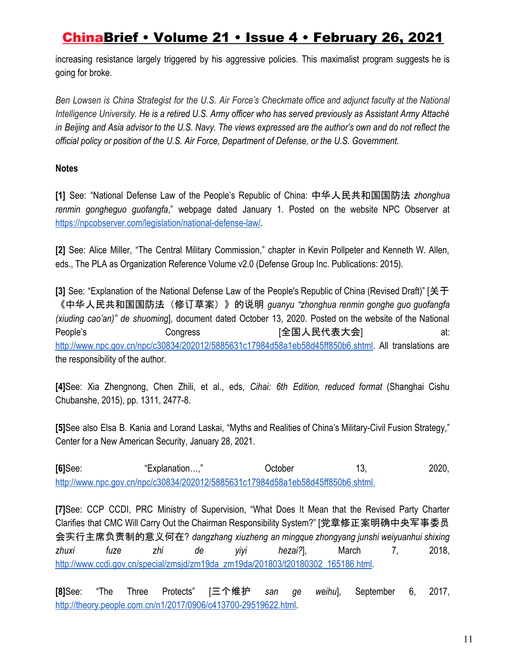increasing resistance largely triggered by his aggressive policies. This maximalist program suggests he is going for broke.

Ben Lowsen is China Strategist for the U.S. Air Force's Checkmate office and adjunct faculty at the National Intelligence University. He is a retired U.S. Army officer who has served previously as Assistant Army Attaché in Beijing and Asia advisor to the U.S. Navy. The views expressed are the author's own and do not reflect the *official policy or position of the U.S. Air Force, Department of Defense, or the U.S. Government.*

### **Notes**

**[1]** See: "National Defense Law of the People's Republic of China: 中华人民共和国国防法 *zhonghua renmin gongheguo guofangfa*," webpage dated January 1. Posted on the website NPC Observer a[t](https://npcobserver.com/legislation/national-defense-law/) [https://npcobserver.com/legislation/national-defense-law/.](https://npcobserver.com/legislation/national-defense-law/)

**[2]** See: Alice Miller, "The Central Military Commission," chapter in Kevin Pollpeter and Kenneth W. Allen, eds., The PLA as Organization Reference Volume v2.0 (Defense Group Inc. Publications: 2015).

**[3]** See: "Explanation of the National Defense Law of the People's Republic of China (Revised Draft)" [关于 《中华人民共和国国防法(修订草案)》的说明 *guanyu "zhonghua renmin gonghe guo guofangfa (xiuding cao'an)" de shuoming*], document dated October 13, 2020. Posted on the website of the National People's Congress [全国人民代表大会] at: [http://www.npc.gov.cn/npc/c30834/202012/5885631c17984d58a1eb58d45ff850b6.shtml.](http://www.npc.gov.cn/npc/c30834/202012/5885631c17984d58a1eb58d45ff850b6.shtml) All translations are the responsibility of the author.

**[4]**See: Xia Zhengnong, Chen Zhili, et al., eds, *Cihai: 6th Edition, reduced format* (Shanghai Cishu Chubanshe, 2015), pp. 1311, 2477-8.

**[5]**See also Elsa B. Kania and Lorand Laskai, "Myths and Realities of China's Military-Civil Fusion Strategy," Center for a New American Security, January 28, 2021.

**[6]**See: "Explanation...," Cotober 13, 2020, [http://www.npc.gov.cn/npc/c30834/202012/5885631c17984d58a1eb58d45ff850b6.shtml.](http://www.npc.gov.cn/npc/c30834/202012/5885631c17984d58a1eb58d45ff850b6.shtml)

**[7]**See: CCP CCDI, PRC Ministry of Supervision, "What Does It Mean that the Revised Party Charter Clarifies that CMC Will Carry Out the Chairman Responsibility System?" [党章修正案明确中央军事委员 会实行主席负责制的意义何在? *dangzhang xiuzheng an mingque zhongyang junshi weiyuanhui shixing zhuxi fuze zhi de yiyi hezai?*], March 7, 2018[,](http://www.ccdi.gov.cn/special/zmsjd/zm19da_zm19da/201803/t20180302_165186.html) [http://www.ccdi.gov.cn/special/zmsjd/zm19da\\_zm19da/201803/t20180302\\_165186.html](http://www.ccdi.gov.cn/special/zmsjd/zm19da_zm19da/201803/t20180302_165186.html).

**[8]**See: "The Three Protects" [三个维护 *san ge weihu*], September 6, 2017[,](http://theory.people.com.cn/n1/2017/0906/c413700-29519622.html) [http://theory.people.com.cn/n1/2017/0906/c413700-29519622.html.](http://theory.people.com.cn/n1/2017/0906/c413700-29519622.html)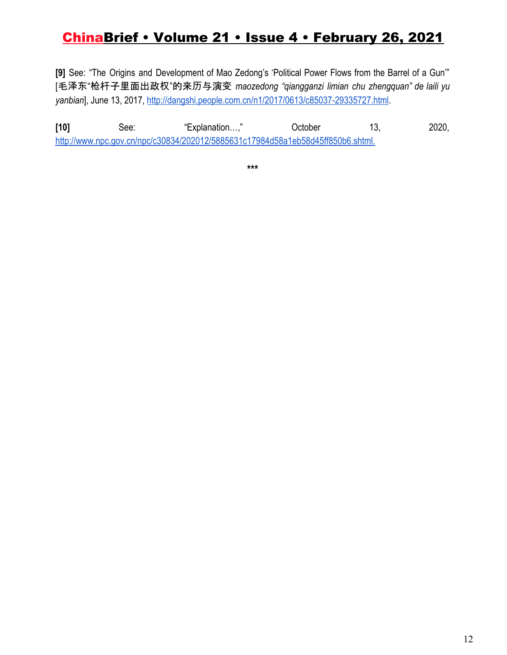**[9]** See: "The Origins and Development of Mao Zedong's 'Political Power Flows from the Barrel of a Gun'" [毛泽东"枪杆子里面出政权"的来历与演变 *maozedong "qiangganzi limian chu zhengquan" de laili yu yanbian*], June 13, 2017, [http://dangshi.people.com.cn/n1/2017/0613/c85037-29335727.html.](http://dangshi.people.com.cn/n1/2017/0613/c85037-29335727.html)

**[10]** See: "Explanation…," October 13, 2020, [http://www.npc.gov.cn/npc/c30834/202012/5885631c17984d58a1eb58d45ff850b6.shtml.](http://www.npc.gov.cn/npc/c30834/202012/5885631c17984d58a1eb58d45ff850b6.shtml)

**\*\*\***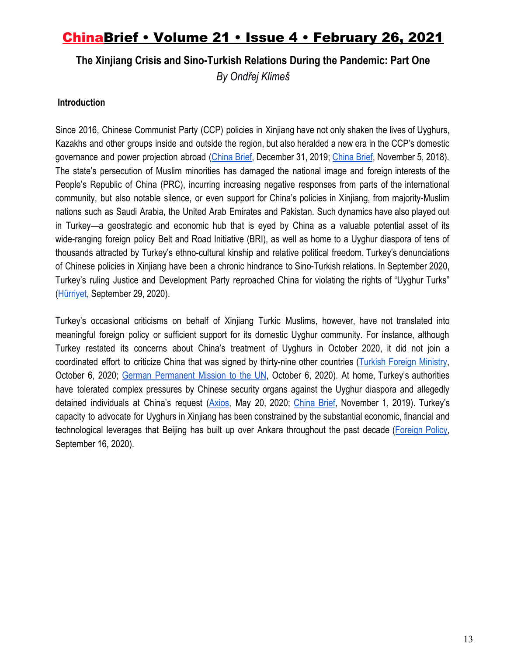### **The Xinjiang Crisis and Sino-Turkish Relations During the Pandemic: Part One** *By Ondřej Klimeš*

#### **Introduction**

Since 2016, Chinese Communist Party (CCP) policies in Xinjiang have not only shaken the lives of Uyghurs, Kazakhs and other groups inside and outside the region, but also heralded a new era in the CCP's domestic governance and power projection abroad ([China](https://web.archive.org/web/20201202195803/https:/jamestown.org/program/xinjiangs-re-education-and-securitization-campaign-evidence-from-domestic-security-budgets/) Brief, December 31, 2019; China Brief, November 5, 2018). The state's persecution of Muslim minorities has damaged the national image and foreign interests of the People's Republic of China (PRC), incurring increasing negative responses from parts of the international community, but also notable silence, or even support for China's policies in Xinjiang, from majority-Muslim nations such as Saudi Arabia, the United Arab Emirates and Pakistan. Such dynamics have also played out in Turkey—a geostrategic and economic hub that is eyed by China as a valuable potential asset of its wide-ranging foreign policy Belt and Road Initiative (BRI), as well as home to a Uyghur diaspora of tens of thousands attracted by Turkey's ethno-cultural kinship and relative political freedom. Turkey's denunciations of Chinese policies in Xinjiang have been a chronic hindrance to Sino-Turkish relations. In September 2020, Turkey's ruling Justice and Development Party reproached China for violating the rights of "Uyghur Turks" [\(Hürriyet,](https://web.archive.org/web/20201021050820/https:/www.hurriyet.com.tr/gundem/son-dakika-ak-parti-sozcusu-omer-celikten-onemli-aciklamalar-41623785) September 29, 2020).

Turkey's occasional criticisms on behalf of Xinjiang Turkic Muslims, however, have not translated into meaningful foreign policy or sufficient support for its domestic Uyghur community. For instance, although Turkey restated its concerns about China's treatment of Uyghurs in October 2020, it did not join a coordinated effort to criticize China that was signed by thirty-nine other countries (Turkish Foreign [Ministry](https://web.archive.org/web/20201015074414/http:/www.mfa.gov.tr/ulkemizin-bm-genel-kurul-toplantisinda-uygur-turkleri-konusunda-ulusal-beyani.tr.mfa), October 6, 2020; [G](https://web.archive.org/web/20201120163124/https:/new-york-un.diplo.de/un-en/news-corner/201006-heusgen-china/2402648)erman [Permanent](https://web.archive.org/web/20201120163124/https:/new-york-un.diplo.de/un-en/news-corner/201006-heusgen-china/2402648) Mission to the UN, October 6, 2020). At home, Turkey's authorities have tolerated complex pressures by Chinese security organs against the Uyghur diaspora and allegedly detained individuals at China's request ([Axios,](https://web.archive.org/web/20201125170637/https:/www.axios.com/documents-chinas-secret-extradition-request-uighur-turkey-6d5ba886-c22c-47e8-b970-804fae274e2d.html) May 20, 2020[;](https://web.archive.org/web/20200926223217/https:/jamestown.org/program/chinas-tactics-for-targeting-the-uyghur-diaspora-in-turkey/) [China](https://web.archive.org/web/20200926223217/https:/jamestown.org/program/chinas-tactics-for-targeting-the-uyghur-diaspora-in-turkey/) Brief, November 1, 2019). Turkey's capacity to advocate for Uyghurs in Xinjiang has been constrained by the substantial economic, financial and technological leverages that Beijing has built up over Ankara throughout the past decade ([Foreign](https://web.archive.org/web/20201117191010/https:/foreignpolicy.com/2020/09/16/erdogan-is-turning-turkey-into-a-chinese-client-state/) Policy, September 16, 2020).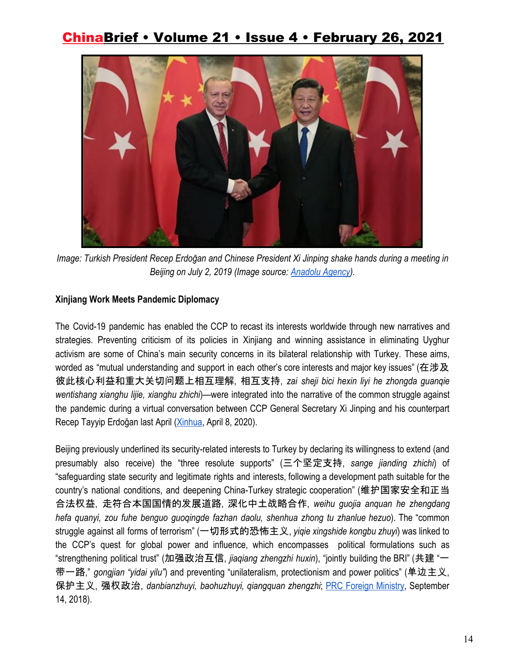

*Image: Turkish President Recep Erdoğan and Chinese President Xi Jinping shake hands during a meeting in Beijing on July 2, 2019 (Image source: [Anadolu Agency\)](https://cdnuploads.aa.com.tr/uploads/Contents/2020/04/08/thumbs_b_c_39132e8e0b7c19d098d909f597cc932e.jpg?v=180001).*

#### **Xinjiang Work Meets Pandemic Diplomacy**

The Covid-19 pandemic has enabled the CCP to recast its interests worldwide through new narratives and strategies. Preventing criticism of its policies in Xinjiang and winning assistance in eliminating Uyghur activism are some of China's main security concerns in its bilateral relationship with Turkey. These aims, worded as "mutual understanding and support in each other's core interests and major key issues" (在涉及 彼此核心利益和重大关切问题上相互理解, 相互支持, *zai sheji bici hexin liyi he zhongda guanqie wentishang xianghu lijie, xianghu zhichi*)—were integrated into the narrative of the common struggle against the pandemic during a virtual conversation between CCP General Secretary Xi Jinping and his counterpart Recep Tayyip Erdoğan last April ([Xinhua](https://web.archive.org/web/20200806015011/http:/www.xinhuanet.com/politics/leaders/2020-04/08/c_1125830167.htm), April 8, 2020).

Beijing previously underlined its security-related interests to Turkey by declaring its willingness to extend (and presumably also receive) the "three resolute supports" (三个坚定支持, *sange jianding zhichi*) of "safeguarding state security and legitimate rights and interests, following a development path suitable for the country's national conditions, and deepening China-Turkey strategic cooperation" (维护国家安全和正当 合法权益, 走符合本国国情的发展道路, 深化中土战略合作, *weihu guojia anquan he zhengdang hefa quanyi, zou fuhe benguo guoqingde fazhan daolu, shenhua zhong tu zhanlue hezuo*). The "common struggle against all forms of terrorism" (一切形式的恐怖主义, *yiqie xingshide kongbu zhuyi*) was linked to the CCP's quest for global power and influence, which encompasses political formulations such as "strengthening political trust" (加强政治互信, *jiaqiang zhengzhi huxin*), "jointly building the BRI" (共建 "一 带一路," *gongjian "yidai yilu"*) and preventing "unilateralism, protectionism and power politics" (单边主义, 保护主义, 强权政治, *danbianzhuyi, baohuzhuyi, qiangquan zhengzhi*; [P](https://web.archive.org/web/20201105171230/https:/www.fmprc.gov.cn/web/wjdt_674879/wjbxw_674885/t1595242.shtml)RC Foreign [Ministry](https://web.archive.org/web/20201105171230/https:/www.fmprc.gov.cn/web/wjdt_674879/wjbxw_674885/t1595242.shtml), September 14, 2018).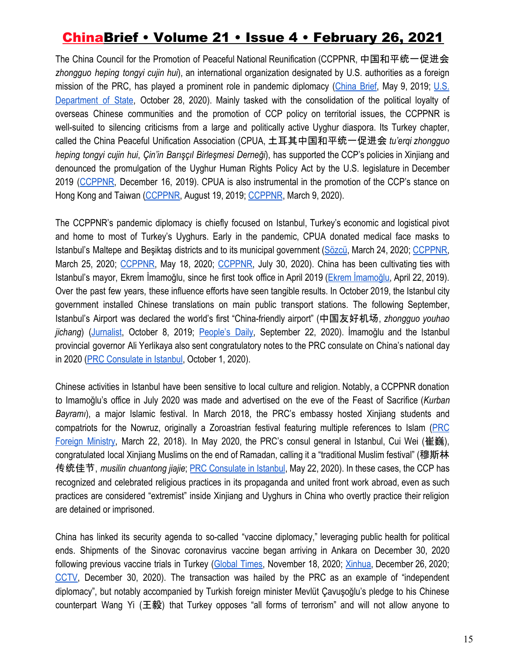The China Council for the Promotion of Peaceful National Reunification (CCPPNR, 中国和平统一促进会 *zhongguo heping tongyi cujin hui*), an international organization designated by U.S. authorities as a foreign mission of the PRC, has played a prominent role in pandemic diplomacy ([China](https://web.archive.org/web/20201113104713/https:/jamestown.org/program/the-united-front-work-department-goes-global-the-worldwide-expansion-of-the-council-for-the-promotion-of-the-peaceful-reunification-of-china/) Brief, May 9, 2019[;](https://www.state.gov/designation-of-the-national-association-for-chinas-peaceful-unification-nacpu-as-a-foreign-mission-of-the-prc/) [U.S.](https://www.state.gov/designation-of-the-national-association-for-chinas-peaceful-unification-nacpu-as-a-foreign-mission-of-the-prc/) [Department](https://www.state.gov/designation-of-the-national-association-for-chinas-peaceful-unification-nacpu-as-a-foreign-mission-of-the-prc/) of State, October 28, 2020). Mainly tasked with the consolidation of the political loyalty of overseas Chinese communities and the promotion of CCP policy on territorial issues, the CCPPNR is well-suited to silencing criticisms from a large and politically active Uyghur diaspora. Its Turkey chapter, called the China Peaceful Unification Association (CPUA, 土耳其中国和平统一促进会 *tu'erqi zhongguo heping tongyi cujin hui*, *Çin'in Barışçıl Birleşmesi Derneği*), has supported the CCP's policies in Xinjiang and denounced the promulgation of the Uyghur Human Rights Policy Act by the U.S. legislature in December 2019 ([CCPPNR,](https://web.archive.org/web/20201126110550/http:/www.zhongguotongcuhui.org.cn/hnwtchdt/201912/t20191216_12225601.html) December 16, 2019). CPUA is also instrumental in the promotion of the CCP's stance on Hong Kong and Taiwan ([CCPPNR,](https://web.archive.org/web/20201126110737/http:/www.zhongguotongcuhui.org.cn/hnwtchdt/201908/t20190819_12194097.html) August 19, 2019[;](https://web.archive.org/web/20200312033947/http:/www.zhongguotongcuhui.org.cn/hnwtchdt/202003/t20200309_12253726.html) [CCPPNR](https://web.archive.org/web/20200312033947/http:/www.zhongguotongcuhui.org.cn/hnwtchdt/202003/t20200309_12253726.html), March 9, 2020).

The CCPPNR's pandemic diplomacy is chiefly focused on Istanbul, Turkey's economic and logistical pivot and home to most of Turkey's Uyghurs. Early in the pandemic, CPUA donated medical face masks to Istanbul's Maltepe and Beşiktaş districts and to its municipal government [\(Sözcü](https://web.archive.org/web/20200325160824/https:/www.sozcu.com.tr/2020/gundem/cinden-maltepeye-10-bin-maske-bagisi-5699408/), March 24, 2020; [CCPPNR](https://web.archive.org/web/20201117101448/http:/www.zhongguotongcuhui.org.cn/hnwtchdt/202003/t20200325_12259297.html), March 25, 2020; [CCPPNR,](https://web.archive.org/web/20201121074132/http:/www.zhongguotongcuhui.org.cn/hnwtchdt/202005/t20200518_12275203.html) May 18, 2020; [CCPPNR,](https://web.archive.org/web/20200804024053/http:/www.zhongguotongcuhui.org.cn/hnwtchdt/202007/t20200730_12288225.html) July 30, 2020). China has been cultivating ties with Istanbul's mayor, Ekrem İmamoğlu, since he first took office in April 2019 (Ekrem [İmamoğlu](https://web.archive.org/web/20200920201221/https:/www.ekremimamoglu.com/imamogluna-cinin-istanbul-baskonsolosu-weiden-tebrik-ziyareti/), April 22, 2019). Over the past few years, these influence efforts have seen tangible results. In October 2019, the Istanbul city government installed Chinese translations on main public transport stations. The following September, Istanbul's Airport was declared the world's first "China-friendly airport" (中国友好机场, *zhongguo youhao jichang*) [\(Jurnalist](https://web.archive.org/web/20201126112051if_/https:/www.gzt.com/jurnalist/istanbuldaki-duraklara-asilan-cince-yonlendirme-tabelalari-neden-tepki-cekti-3512829), October 8, 2019; [People's](https://web.archive.org/web/20201123005041/http:/world.people.com.cn/n1/2020/0922/c1002-31871197.html) Daily, September 22, 2020). İmamoğlu and the Istanbul provincial governor Ali Yerlikaya also sent congratulatory notes to the PRC consulate on China's national day in 2020 [\(PRC Consulate in Istanbul](https://web.archive.org/web/20201126112446/http:/istanbul.chineseconsulate.org/chn/zlshd/t1821215.htm), October 1, 2020).

Chinese activities in Istanbul have been sensitive to local culture and religion. Notably, a CCPPNR donation to Imamoğlu's office in July 2020 was made and advertised on the eve of the Feast of Sacrifice (*Kurban Bayramı*), a major Islamic festival. In March 2018, the PRC's embassy hosted Xinjiang students and compatriots for the Nowruz, originally a Zoroastrian festival featuring multiple references to Islam [\(PRC](https://web.archive.org/web/20201108225734/https:/www.fmprc.gov.cn/web/dszlsjt_673036/t1545021.shtml) Foreign [Ministry,](https://web.archive.org/web/20201108225734/https:/www.fmprc.gov.cn/web/dszlsjt_673036/t1545021.shtml) March 22, 2018). In May 2020, the PRC's consul general in Istanbul, Cui Wei (崔巍), congratulated local Xinjiang Muslims on the end of Ramadan, calling it a "traditional Muslim festival" (穆斯林 传统佳节, *musilin chuantong jiajie*; [P](https://web.archive.org/web/20201021161057/http:/istanbul.chineseconsulate.org/chn/zlshd/t1781849.htm)RC [Consulate](https://web.archive.org/web/20201021161057/http:/istanbul.chineseconsulate.org/chn/zlshd/t1781849.htm) in Istanbul, May 22, 2020). In these cases, the CCP has recognized and celebrated religious practices in its propaganda and united front work abroad, even as such practices are considered "extremist" inside Xinjiang and Uyghurs in China who overtly practice their religion are detained or imprisoned.

China has linked its security agenda to so-called "vaccine diplomacy," leveraging public health for political ends. Shipments of the Sinovac coronavirus vaccine began arriving in Ankara on December 30, 2020 following previous vaccine trials in Turkey ([Global](https://web.archive.org/web/20201130215718/https:/www.globaltimes.cn/content/1207300.shtml) Times, November 18, 2020; [Xinhua](https://web.archive.org/web/20210103230644/http:/www.xinhuanet.com/2020-12/26/c_1126909114.htm), December 26, 2020; [CCTV,](https://web.archive.org/web/20210103225919/http:/m.news.cctv.com/2020/12/30/ARTIYVUMyh7V2gIN64hkzBeG201230.shtml) December 30, 2020). The transaction was hailed by the PRC as an example of "independent diplomacy", but notably accompanied by Turkish foreign minister Mevlüt Çavuşoğlu's pledge to his Chinese counterpart Wang Yi (王毅) that Turkey opposes "all forms of terrorism" and will not allow anyone to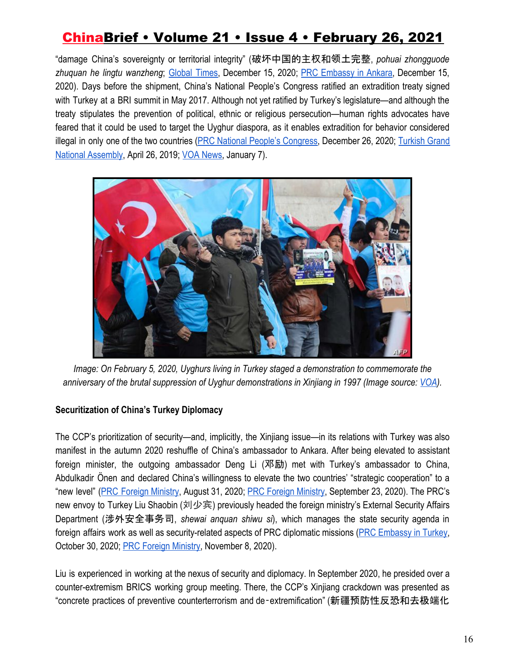"damage China's sovereignty or territorial integrity" (破坏中国的主权和领土完整, *pohuai zhongguode zhuquan he lingtu wanzheng*; [Global](https://web.archive.org/web/20201215171556/https:/www.globaltimes.cn/content/1210036.shtml) Times, December 15, 2020; [P](https://web.archive.org/web/20210103221437/http:/tr.china-embassy.org/chn/xwdt/t1840633.htm)RC [Embassy](https://web.archive.org/web/20210103221437/http:/tr.china-embassy.org/chn/xwdt/t1840633.htm) in Ankara, December 15, 2020). Days before the shipment, China's National People's Congress ratified an extradition treaty signed with Turkey at a BRI summit in May 2017. Although not yet ratified by Turkey's legislature—and although the treaty stipulates the prevention of political, ethnic or religious persecution—human rights advocates have feared that it could be used to target the Uyghur diaspora, as it enables extradition for behavior considered illegal in only one of the two countries (PRC National People's [Congress,](https://web.archive.org/web/20201228083004/http:/www.npc.gov.cn/npc/c30834/202012/8750af8c7f324d249aa3fbf24401b2d6.shtml) December 26, 2020[;](https://web.archive.org/web/20201227162246/https:/www.tbmm.gov.tr/develop/owa/tasari_teklif_sd.onerge_bilgileri?kanunlar_sira_no=248165) [Turkish](https://web.archive.org/web/20201227162246/https:/www.tbmm.gov.tr/develop/owa/tasari_teklif_sd.onerge_bilgileri?kanunlar_sira_no=248165) Grand [National Assembly](https://web.archive.org/web/20201227162246/https:/www.tbmm.gov.tr/develop/owa/tasari_teklif_sd.onerge_bilgileri?kanunlar_sira_no=248165), April 26, 2019; [VOA News](https://web.archive.org/web/20210204003054/https:/www.voanews.com/east-asia-pacific/analysts-extradition-treaty-between-turkey-china-endangers-uighur-refugees), January 7).



*Image: On February 5, 2020, Uyghurs living in Turkey staged a demonstration to commemorate the anniversary of the brutal suppression of Uyghur demonstrations in Xinjiang in 1997 (Image source[:](https://www.voanews.com/extremism-watch/uighurs-concerned-china-luring-turkey-silence-xinjiang) [VOA\)](https://www.voanews.com/extremism-watch/uighurs-concerned-china-luring-turkey-silence-xinjiang).*

### **Securitization of China's Turkey Diplomacy**

The CCP's prioritization of security—and, implicitly, the Xinjiang issue—in its relations with Turkey was also manifest in the autumn 2020 reshuffle of China's ambassador to Ankara. After being elevated to assistant foreign minister, the outgoing ambassador Deng Li (邓励) met with Turkey's ambassador to China, Abdulkadir Önen and declared China's willingness to elevate the two countries' "strategic cooperation" to a "new level" (PRC Foreign [Ministry](https://web.archive.org/web/20200902215900/http:/www.gov.cn/xinwen/2020-08/31/content_5538691.htm), August 31, 2020[;](https://web.archive.org/web/20201126112832/http:/www.china-un.org/web/wjbxw_673019/t1817469.shtml) PRC Foreign [Ministry](https://web.archive.org/web/20201126112832/http:/www.china-un.org/web/wjbxw_673019/t1817469.shtml), September 23, 2020). The PRC's new envoy to Turkey Liu Shaobin (刘少宾) previously headed the foreign ministry's External Security Affairs Department (涉外安全事务司, *shewai anquan shiwu si*), which manages the state security agenda in foreign affairs work as well as security-related aspects of PRC diplomatic missions (PRC [Embassy](https://web.archive.org/web/20201126113054/http:/tr.china-embassy.org/chn/dsxxs/dsjl/) in Turkey, October 30, 2020; [PRC Foreign Ministry](https://web.archive.org/web/20201108220700/https:/www.fmprc.gov.cn/web/wjb_673085/zzjg_673183/swaqsws_674705/), November 8, 2020).

Liu is experienced in working at the nexus of security and diplomacy. In September 2020, he presided over a counter-extremism BRICS working group meeting. There, the CCP's Xinjiang crackdown was presented as "concrete practices of preventive counterterrorism and de‑extremification" (新疆预防性反恐和去极端化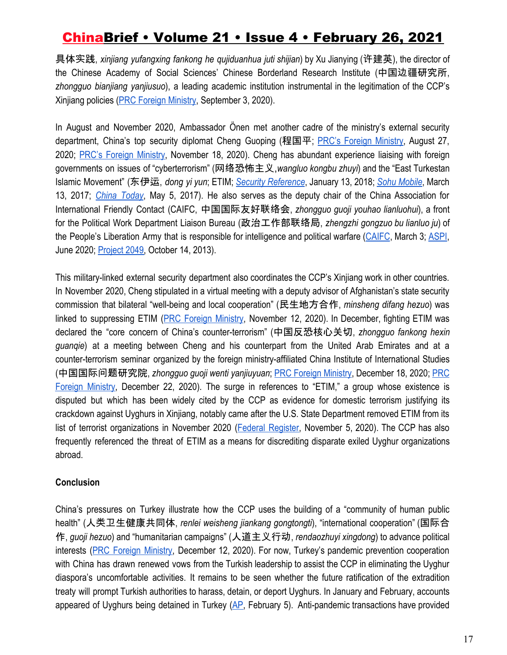具体实践, *xinjiang yufangxing fankong he qujiduanhua juti shijian*) by Xu Jianying (许建英), the director of the Chinese Academy of Social Sciences' Chinese Borderland Research Institute (中国边疆研究所, *zhongguo bianjiang yanjiusuo*), a leading academic institution instrumental in the legitimation of the CCP's Xinjiang policies [\(PRC Foreign Ministry](https://web.archive.org/web/20201115164825/http:/www.china-un.org/web/wjdt_674879/sjxw_674887/t1811864.shtml), September 3, 2020).

In August and November 2020, Ambassador Önen met another cadre of the ministry's external security department, China's top security diplomat Cheng Guoping (程国平; [P](https://web.archive.org/web/20201108221245/https:/www.fmprc.gov.cn/web/wjb_673085/zzjg_673183/swaqsws_674705/xgxw_674707/t1809851.shtml)RC's Foreign [Ministry,](https://web.archive.org/web/20201108221245/https:/www.fmprc.gov.cn/web/wjb_673085/zzjg_673183/swaqsws_674705/xgxw_674707/t1809851.shtml) August 27, 2020; [P](https://web.archive.org/web/20201126113856/https:/www.fmprc.gov.cn/web/wjb_673085/zzjg_673183/swaqsws_674705/xgxw_674707/t1833337.shtml)RC's Foreign [Ministry,](https://web.archive.org/web/20201126113856/https:/www.fmprc.gov.cn/web/wjb_673085/zzjg_673183/swaqsws_674705/xgxw_674707/t1833337.shtml) November 18, 2020). Cheng has abundant experience liaising with foreign governments on issues of "cyberterrorism" (网络恐怖主义,*wangluo kongbu zhuyi*) and the "East Turkestan Islamic Movement" (东伊运, *dong yi yun*; ETIM; *[S](https://web.archive.org/web/20201119184013/https:/www.secrss.com/articles/264)ecurity [Reference](https://web.archive.org/web/20201119184013/https:/www.secrss.com/articles/264)*, January 13, 2018; *Sohu [Mobile](https://web.archive.org/web/20201119183547/https:/m.sohu.com/n/483227867/)*, March 13, 2017; *[C](https://web.archive.org/web/20201119193339/http:/www.chinatoday.com.cn/english/report/2017-05/05/content_740109.htm)hina [Today](https://web.archive.org/web/20201119193339/http:/www.chinatoday.com.cn/english/report/2017-05/05/content_740109.htm)*, May 5, 2017). He also serves as the deputy chair of the China Association for International Friendly Contact (CAIFC, 中国国际友好联络会, *zhongguo guoji youhao lianluohui*), a front for the Political Work Department Liaison Bureau (政治工作部联络局, *zhengzhi gongzuo bu lianluo ju*) of the People's Liberation Army that is responsible for intelligence and political warfare ([CAIFC](https://web.archive.org/web/20200812211722/http:/www.caifc.org.cn/index.php?m=content&c=index&a=show&catid=30&id=705), March 3; [ASPI](https://web.archive.org/web/20201125131416/https:/www.aspi.org.au/report/party-speaks-you), June 2020; [Project 2049,](https://web.archive.org/web/20201101092429/https:/project2049.net/2013/10/14/the-peoples-liberation-army-general-political-department-political-warfare-with-chinese-characteristics/) October 14, 2013).

This military-linked external security department also coordinates the CCP's Xinjiang work in other countries. In November 2020, Cheng stipulated in a virtual meeting with a deputy advisor of Afghanistan's state security commission that bilateral "well-being and local cooperation" (民生地方合作, *minsheng difang hezuo*) was linked to suppressing ETIM (PRC Foreign [Ministry](https://web.archive.org/web/20201118090544/http:/www.china-un.org/web/wjbxw_673019/t1831912.shtml), November 12, 2020). In December, fighting ETIM was declared the "core concern of China's counter-terrorism" (中国反恐核心关切, *zhongguo fankong hexin guanqie*) at a meeting between Cheng and his counterpart from the United Arab Emirates and at a counter-terrorism seminar organized by the foreign ministry-affiliated China Institute of International Studies (中国国际问题研究院, *zhongguo guoji wenti yanjiuyuan*[;](https://web.archive.org/web/20210103202842/https:/www.fmprc.gov.cn/web/wjb_673085/zzjg_673183/swaqsws_674705/xgxw_674707/t1841199.shtml) PRC Foreign [Ministry,](https://web.archive.org/web/20210103202842/https:/www.fmprc.gov.cn/web/wjb_673085/zzjg_673183/swaqsws_674705/xgxw_674707/t1841199.shtml) December 18, 2020; [PRC](https://web.archive.org/web/20210103203017/https:/www.fmprc.gov.cn/web/wjb_673085/zzjg_673183/swaqsws_674705/xgxw_674707/t1841965.shtml) Foreign [Ministry,](https://web.archive.org/web/20210103203017/https:/www.fmprc.gov.cn/web/wjb_673085/zzjg_673183/swaqsws_674705/xgxw_674707/t1841965.shtml) December 22, 2020). The surge in references to "ETIM," a group whose existence is disputed but which has been widely cited by the CCP as evidence for domestic terrorism justifying its crackdown against Uyghurs in Xinjiang, notably came after the U.S. State Department removed ETIM from its list of terrorist organizations in November 2020 (Federal [Register,](https://web.archive.org/web/20201125113051/https:/www.federalregister.gov/documents/2020/11/05/2020-24620/in-the-matter-of-the-designation-of-the-eastern-turkistan-islamic-movement-also-known-as-etim-as-a) November 5, 2020). The CCP has also frequently referenced the threat of ETIM as a means for discrediting disparate exiled Uyghur organizations abroad.

#### **Conclusion**

China's pressures on Turkey illustrate how the CCP uses the building of a "community of human public health" (人类卫生健康共同体, *renlei weisheng jiankang gongtongti*), "international cooperation" (国际合 作, *guoji hezuo*) and "humanitarian campaigns" (人道主义行动, *rendaozhuyi xingdong*) to advance political interests (PRC Foreign [Ministry](https://web.archive.org/web/20210104090417/https:/www.fmprc.gov.cn/web/wjbzhd/t1839713.shtml), December 12, 2020). For now, Turkey's pandemic prevention cooperation with China has drawn renewed vows from the Turkish leadership to assist the CCP in eliminating the Uyghur diaspora's uncomfortable activities. It remains to be seen whether the future ratification of the extradition treaty will prompt Turkish authorities to harass, detain, or deport Uyghurs. In January and February, accounts appeared of Uyghurs being detained in Turkey [\(AP,](https://web.archive.org/web/20210205100114/https:/apnews.com/article/turkey-beijing-coronavirus-pandemic-ankara-china-c8b714974552c484c501a5784efc117a) February 5). Anti-pandemic transactions have provided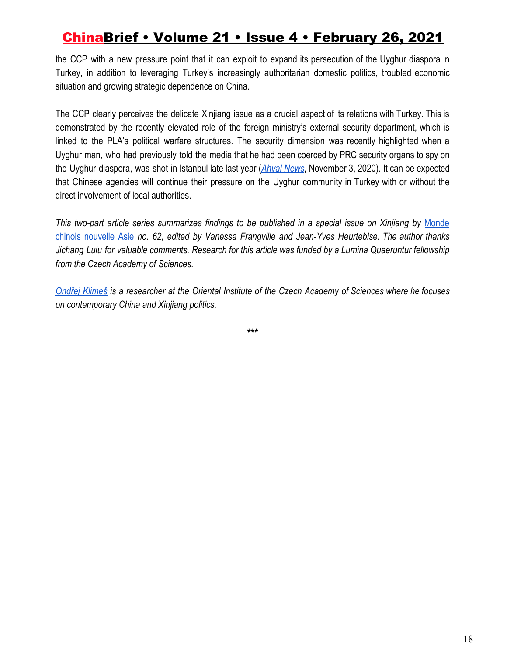the CCP with a new pressure point that it can exploit to expand its persecution of the Uyghur diaspora in Turkey, in addition to leveraging Turkey's increasingly authoritarian domestic politics, troubled economic situation and growing strategic dependence on China.

The CCP clearly perceives the delicate Xinjiang issue as a crucial aspect of its relations with Turkey. This is demonstrated by the recently elevated role of the foreign ministry's external security department, which is linked to the PLA's political warfare structures. The security dimension was recently highlighted when a Uyghur man, who had previously told the media that he had been coerced by PRC security organs to spy on the Uyghur diaspora, was shot in Istanbul late last year (*Ahval [News](https://web.archive.org/web/20201103160511/https:/ahvalnews.com/turkey-uighurs/uighur-man-critical-condition-after-being-shot-istanbul)*, November 3, 2020). It can be expected that Chinese agencies will continue their pressure on the Uyghur community in Turkey with or without the direct involvement of local authorities.

*This two-part article series summarizes findings to be published in a special issue on Xinjiang b[y](https://www.cairn.info/revue-monde-chinois.htm)* [Monde](https://www.cairn.info/revue-monde-chinois.htm) chinois [nouvelle](https://www.cairn.info/revue-monde-chinois.htm) Asie *no. 62, edited by Vanessa Frangville and Jean-Yves Heurtebise. The author thanks Jichang Lulu for valuable comments. Research for this article was funded by a Lumina Quaeruntur fellowship from the Czech Academy of Sciences.*

[Ondřej](http://www.orient.cas.cz/kontakty/pracovnici/klimes.html) Klimeš is a researcher at the Oriental Institute of the Czech Academy of Sciences where he focuses *on contemporary China and Xinjiang politics.*

**\*\*\***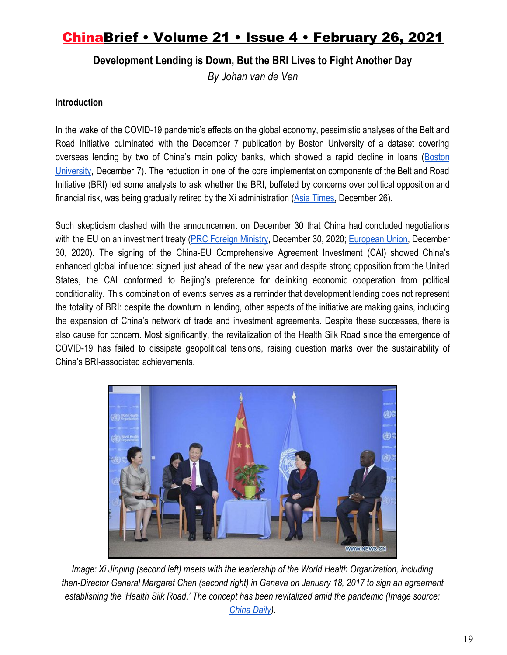**Development Lending is Down, But the BRI Lives to Fight Another Day**

*By Johan van de Ven*

#### **Introduction**

In the wake of the COVID-19 pandemic's effects on the global economy, pessimistic analyses of the Belt and Road Initiative culminated with the December 7 publication by Boston University of a dataset covering overseas lending by two of China's main policy banks, which showed a rapid decline in loans ([Boston](https://www.bu.edu/gdp/2020/12/07/tracking-chinas-overseas-development-finance/) [University](https://www.bu.edu/gdp/2020/12/07/tracking-chinas-overseas-development-finance/), December 7). The reduction in one of the core implementation components of the Belt and Road Initiative (BRI) led some analysts to ask whether the BRI, buffeted by concerns over political opposition and financial risk, was being gradually retired by the Xi administration ([Asia Times,](https://asiatimes.com/2020/12/china-slowly-retreating-from-pakistans-belt-and-road/) December 26).

Such skepticism clashed with the announcement on December 30 that China had concluded negotiations with the EU on an investment treaty (PRC Foreign [Ministry](https://www.fmprc.gov.cn/mfa_eng/zxxx_662805/t1844192.shtml), December 30, 2020[;](https://ec.europa.eu/commission/presscorner/detail/en/ip_20_2541) [European](https://ec.europa.eu/commission/presscorner/detail/en/ip_20_2541) Union, December 30, 2020). The signing of the China-EU Comprehensive Agreement Investment (CAI) showed China's enhanced global influence: signed just ahead of the new year and despite strong opposition from the United States, the CAI conformed to Beijing's preference for delinking economic cooperation from political conditionality. This combination of events serves as a reminder that development lending does not represent the totality of BRI: despite the downturn in lending, other aspects of the initiative are making gains, including the expansion of China's network of trade and investment agreements. Despite these successes, there is also cause for concern. Most significantly, the revitalization of the Health Silk Road since the emergence of COVID-19 has failed to dissipate geopolitical tensions, raising question marks over the sustainability of China's BRI-associated achievements.



*Image: Xi Jinping (second left) meets with the leadership of the World Health Organization, including then-Director General Margaret Chan (second right) in Geneva on January 18, 2017 to sign an agreement establishing the 'Health Silk Road.' The concept has been revitalized amid the pandemic (Image source[:](https://www.chinadaily.com.cn/business/2017wef/2017-01/19/content_27993857.htm) [China Daily](https://www.chinadaily.com.cn/business/2017wef/2017-01/19/content_27993857.htm)).*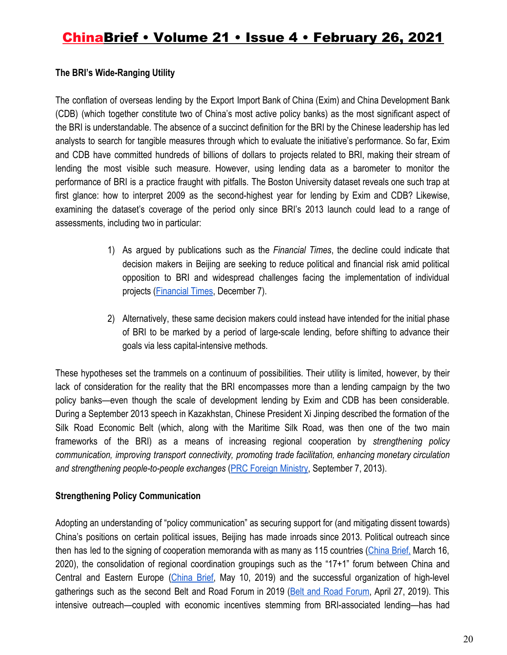### **The BRI's Wide-Ranging Utility**

The conflation of overseas lending by the Export Import Bank of China (Exim) and China Development Bank (CDB) (which together constitute two of China's most active policy banks) as the most significant aspect of the BRI is understandable. The absence of a succinct definition for the BRI by the Chinese leadership has led analysts to search for tangible measures through which to evaluate the initiative's performance. So far, Exim and CDB have committed hundreds of billions of dollars to projects related to BRI, making their stream of lending the most visible such measure. However, using lending data as a barometer to monitor the performance of BRI is a practice fraught with pitfalls. The Boston University dataset reveals one such trap at first glance: how to interpret 2009 as the second-highest year for lending by Exim and CDB? Likewise, examining the dataset's coverage of the period only since BRI's 2013 launch could lead to a range of assessments, including two in particular:

- 1) As argued by publications such as the *Financial Times*, the decline could indicate that decision makers in Beijing are seeking to reduce political and financial risk amid political opposition to BRI and widespread challenges facing the implementation of individual projects [\(Financial Times](https://www.ft.com/content/1cb3e33b-e2c2-4743-ae41-d3fffffa4259), December 7).
- 2) Alternatively, these same decision makers could instead have intended for the initial phase of BRI to be marked by a period of large-scale lending, before shifting to advance their goals via less capital-intensive methods.

These hypotheses set the trammels on a continuum of possibilities. Their utility is limited, however, by their lack of consideration for the reality that the BRI encompasses more than a lending campaign by the two policy banks—even though the scale of development lending by Exim and CDB has been considerable. During a September 2013 speech in Kazakhstan, Chinese President Xi Jinping described the formation of the Silk Road Economic Belt (which, along with the Maritime Silk Road, was then one of the two main frameworks of the BRI) as a means of increasing regional cooperation by *strengthening policy communication, improving transport connectivity, promoting trade facilitation, enhancing monetary circulation and strengthening people-to-people exchanges* ([PRC Foreign Ministry](https://www.fmprc.gov.cn/mfa_eng/topics_665678/xjpfwzysiesgjtfhshzzfh_665686/t1076334.shtml), September 7, 2013).

### **Strengthening Policy Communication**

Adopting an understanding of "policy communication" as securing support for (and mitigating dissent towards) China's positions on certain political issues, Beijing has made inroads since 2013. Political outreach since then has led to the signing of cooperation memoranda with as many as 115 countries ([China](https://jamestown.org/program/limited-payoffs-what-have-bri-investments-delivered-for-china-amid-the-coronavirus-outbreak/) Brief, March 16, 2020), the consolidation of regional coordination groupings such as the "17+1" forum between China and Central and Eastern Europe ([China](https://jamestown.org/program/the-161-becomes-the-171-greece-joins-chinas-dwindling-cooperation-framework-in-central-and-eastern-europe/) Brief, May 10, 2019) and the successful organization of high-level gatherings such as the second Belt and Road Forum in 2019 (Belt and Road [Forum](http://www.beltandroadforum.org/english/n100/2019/0427/c36-1311.html), April 27, 2019). This intensive outreach—coupled with economic incentives stemming from BRI-associated lending—has had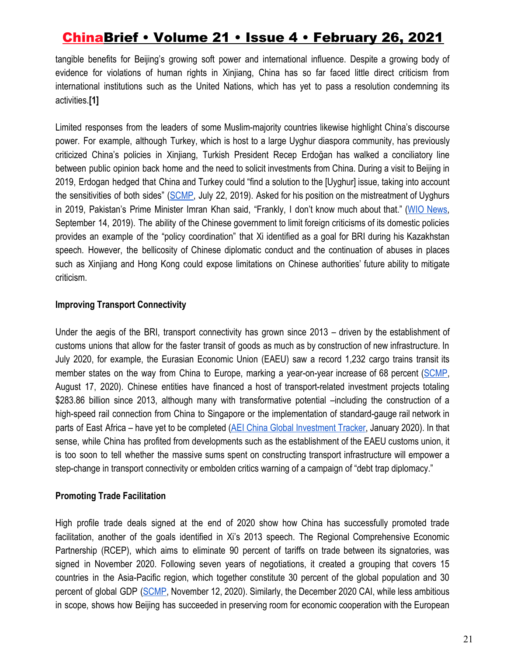tangible benefits for Beijing's growing soft power and international influence. Despite a growing body of evidence for violations of human rights in Xinjiang, China has so far faced little direct criticism from international institutions such as the United Nations, which has yet to pass a resolution condemning its activities.**[1]**

Limited responses from the leaders of some Muslim-majority countries likewise highlight China's discourse power. For example, although Turkey, which is host to a large Uyghur diaspora community, has previously criticized China's policies in Xinjiang, Turkish President Recep Erdoğan has walked a conciliatory line between public opinion back home and the need to solicit investments from China. During a visit to Beijing in 2019, Erdogan hedged that China and Turkey could "find a solution to the [Uyghur] issue, taking into account the sensitivities of both sides" ([SCMP,](https://www.scmp.com/news/china/diplomacy/article/3019630/turkish-president-recep-tayyip-erdogans-happy-xinjiang) July 22, 2019). Asked for his position on the mistreatment of Uyghurs in 2019, Pakistan's Prime Minister Imran Khan said, "Frankly, I don't know much about that." (WIO [News,](https://www.wionews.com/south-asia/dont-know-much-about-imran-khan-on-situation-of-uighurs-muslims-in-china-249715) September 14, 2019). The ability of the Chinese government to limit foreign criticisms of its domestic policies provides an example of the "policy coordination" that Xi identified as a goal for BRI during his Kazakhstan speech. However, the bellicosity of Chinese diplomatic conduct and the continuation of abuses in places such as Xinjiang and Hong Kong could expose limitations on Chinese authorities' future ability to mitigate criticism.

### **Improving Transport Connectivity**

Under the aegis of the BRI, transport connectivity has grown since 2013 – driven by the establishment of customs unions that allow for the faster transit of goods as much as by construction of new infrastructure. In July 2020, for example, the Eurasian Economic Union (EAEU) saw a record 1,232 cargo trains transit its member states on the way from China to Europe, marking a year-on-year increase of 68 percent [\(SCMP,](https://www.scmp.com/economy/china-economy/article/3097719/chinas-rail-shipments-europe-set-records-demand-surges) August 17, 2020). Chinese entities have financed a host of transport-related investment projects totaling \$283.86 billion since 2013, although many with transformative potential –including the construction of a high-speed rail connection from China to Singapore or the implementation of standard-gauge rail network in parts of East Africa – have yet to be completed (AEI China Global [Investment](https://www.aei.org/china-global-investment-tracker/) Tracker, January 2020). In that sense, while China has profited from developments such as the establishment of the EAEU customs union, it is too soon to tell whether the massive sums spent on constructing transport infrastructure will empower a step-change in transport connectivity or embolden critics warning of a campaign of "debt trap diplomacy."

### **Promoting Trade Facilitation**

High profile trade deals signed at the end of 2020 show how China has successfully promoted trade facilitation, another of the goals identified in Xi's 2013 speech. The Regional Comprehensive Economic Partnership (RCEP), which aims to eliminate 90 percent of tariffs on trade between its signatories, was signed in November 2020. Following seven years of negotiations, it created a grouping that covers 15 countries in the Asia-Pacific region, which together constitute 30 percent of the global population and 30 percent of global GDP [\(SCMP](https://www.scmp.com/news/china/diplomacy/article/3109436/what-rcep-and-what-does-indo-pacific-free-trade-deal-offer), November 12, 2020). Similarly, the December 2020 CAI, while less ambitious in scope, shows how Beijing has succeeded in preserving room for economic cooperation with the European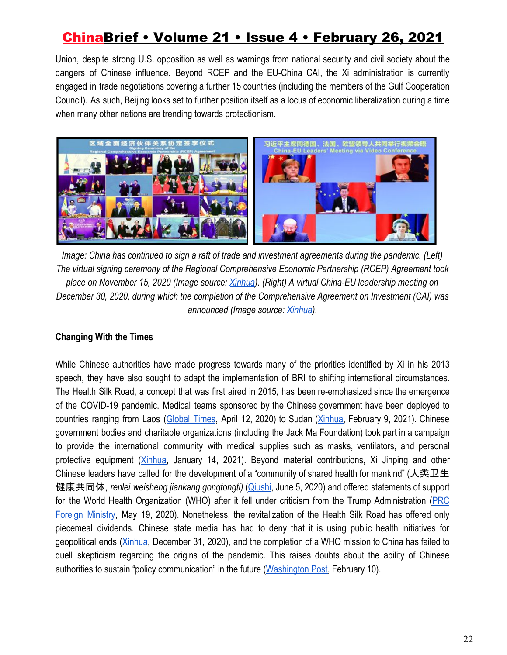Union, despite strong U.S. opposition as well as warnings from national security and civil society about the dangers of Chinese influence. Beyond RCEP and the EU-China CAI, the Xi administration is currently engaged in trade negotiations covering a further 15 countries (including the members of the Gulf Cooperation Council). As such, Beijing looks set to further position itself as a locus of economic liberalization during a time when many other nations are trending towards protectionism.



*Image: China has continued to sign a raft of trade and investment agreements during the pandemic. (Left) The virtual signing ceremony of the Regional Comprehensive Economic Partnership (RCEP) Agreement took place on November 15, 2020 (Image source: [Xinhua\)](http://www.xinhuanet.com/english/2020-11/16/c_139519866.htm). (Right) A virtual China-EU leadership meeting on December 30, 2020, during which the completion of the Comprehensive Agreement on Investment (CAI) was announced (Image source: [Xinhua](http://www.xinhuanet.com/english/2020-12/31/c_139630883.htm)).*

### **Changing With the Times**

While Chinese authorities have made progress towards many of the priorities identified by Xi in his 2013 speech, they have also sought to adapt the implementation of BRI to shifting international circumstances. The Health Silk Road, a concept that was first aired in 2015, has been re-emphasized since the emergence of the COVID-19 pandemic. Medical teams sponsored by the Chinese government have been deployed to countries ranging from Laos ([Global](https://www.globaltimes.cn/content/1185340.shtml) Times, April 12, 2020) to Sudan [\(Xinhua,](http://www.xinhuanet.com/english/2021-02/09/c_139733363.htm) February 9, 2021). Chinese government bodies and charitable organizations (including the Jack Ma Foundation) took part in a campaign to provide the international community with medical supplies such as masks, ventilators, and personal protective equipment [\(Xinhua,](http://www.xinhuanet.com/english/2021-01/14/c_139667725.htm) January 14, 2021). Beyond material contributions, Xi Jinping and other Chinese leaders have called for the development of a "community of shared health for mankind" (人类卫生 健康共同体, *renlei weisheng jiankang gongtongti)* ([Qiushi,](http://www.qstheory.cn/laigao/ycjx/2020-06/05/c_1126079834.htm) June 5, 2020) and offered statements of support for the World Health Organization (WHO) after it fell under criticism from the Trump Administration [\(PRC](https://www.fmprc.gov.cn/mfa_eng/xwfw_665399/s2510_665401/t1780716.shtml) Foreign [Ministry,](https://www.fmprc.gov.cn/mfa_eng/xwfw_665399/s2510_665401/t1780716.shtml) May 19, 2020). Nonetheless, the revitalization of the Health Silk Road has offered only piecemeal dividends. Chinese state media has had to deny that it is using public health initiatives for geopolitical ends ([Xinhua](http://www.xinhuanet.com/english/2020-12/31/c_139631668.htm), December 31, 2020), and the completion of a WHO mission to China has failed to quell skepticism regarding the origins of the pandemic. This raises doubts about the ability of Chinese authorities to sustain "policy communication" in the future [\(Washington Post,](https://www.washingtonpost.com/world/asia_pacific/coronavirus-china-who-wuhan-pandemic/2021/02/10/f1751148-6b41-11eb-a66e-e27046e9e898_story.html) February 10).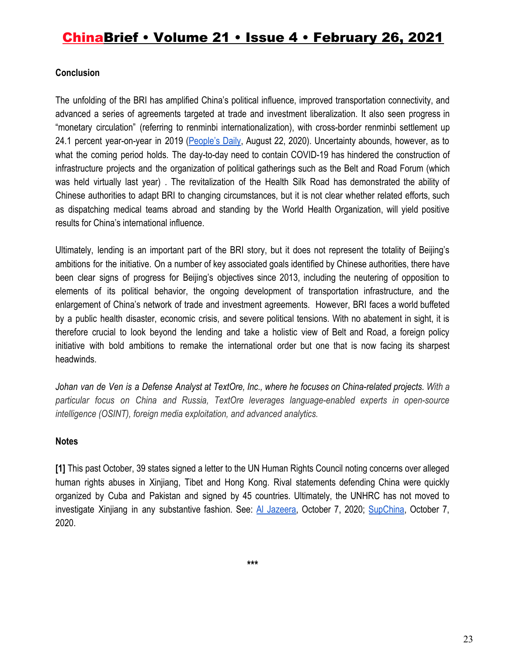#### **Conclusion**

The unfolding of the BRI has amplified China's political influence, improved transportation connectivity, and advanced a series of agreements targeted at trade and investment liberalization. It also seen progress in "monetary circulation" (referring to renminbi internationalization), with cross-border renminbi settlement up 24.1 percent year-on-year in 2019 ([People's](http://en.people.cn/n3/2020/0822/c90000-9737411.html) Daily, August 22, 2020). Uncertainty abounds, however, as to what the coming period holds. The day-to-day need to contain COVID-19 has hindered the construction of infrastructure projects and the organization of political gatherings such as the Belt and Road Forum (which was held virtually last year) . The revitalization of the Health Silk Road has demonstrated the ability of Chinese authorities to adapt BRI to changing circumstances, but it is not clear whether related efforts, such as dispatching medical teams abroad and standing by the World Health Organization, will yield positive results for China's international influence.

Ultimately, lending is an important part of the BRI story, but it does not represent the totality of Beijing's ambitions for the initiative. On a number of key associated goals identified by Chinese authorities, there have been clear signs of progress for Beijing's objectives since 2013, including the neutering of opposition to elements of its political behavior, the ongoing development of transportation infrastructure, and the enlargement of China's network of trade and investment agreements. However, BRI faces a world buffeted by a public health disaster, economic crisis, and severe political tensions. With no abatement in sight, it is therefore crucial to look beyond the lending and take a holistic view of Belt and Road, a foreign policy initiative with bold ambitions to remake the international order but one that is now facing its sharpest headwinds.

Johan van de Ven is a Defense Analyst at TextOre, Inc., where he focuses on China-related projects. With a *particular focus on China and Russia, TextOre leverages language-enabled experts in open-source intelligence (OSINT), foreign media exploitation, and advanced analytics.*

#### **Notes**

**[1]** This past October, 39 states signed a letter to the UN Human Rights Council noting concerns over alleged human rights abuses in Xinjiang, Tibet and Hong Kong. Rival statements defending China were quickly organized by Cuba and Pakistan and signed by 45 countries. Ultimately, the UNHRC has not moved to investigate Xinjiang in any substantive fashion. See[:](https://www.aljazeera.com/news/2020/10/7/germany-leads-charge-against-china-on-rights-abuses) Al [Jazeera,](https://www.aljazeera.com/news/2020/10/7/germany-leads-charge-against-china-on-rights-abuses) October 7, 2020; [SupChina](https://supchina.com/2020/10/07/criticism-of-chinas-xinjiang-policies-grows-at-un/), October 7, 2020.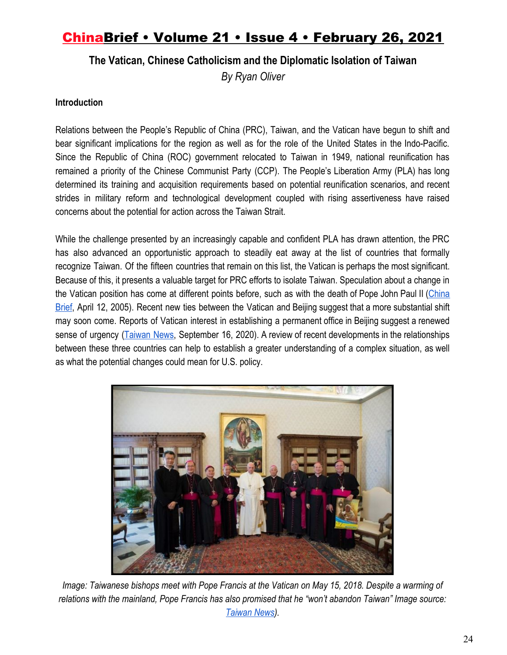**The Vatican, Chinese Catholicism and the Diplomatic Isolation of Taiwan**

*By Ryan Oliver*

### **Introduction**

Relations between the People's Republic of China (PRC), Taiwan, and the Vatican have begun to shift and bear significant implications for the region as well as for the role of the United States in the Indo-Pacific. Since the Republic of China (ROC) government relocated to Taiwan in 1949, national reunification has remained a priority of the Chinese Communist Party (CCP). The People's Liberation Army (PLA) has long determined its training and acquisition requirements based on potential reunification scenarios, and recent strides in military reform and technological development coupled with rising assertiveness have raised concerns about the potential for action across the Taiwan Strait.

While the challenge presented by an increasingly capable and confident PLA has drawn attention, the PRC has also advanced an opportunistic approach to steadily eat away at the list of countries that formally recognize Taiwan. Of the fifteen countries that remain on this list, the Vatican is perhaps the most significant. Because of this, it presents a valuable target for PRC efforts to isolate Taiwan. Speculation about a change in the Vatican position has come at different points before, such as with the death of Pope John Paul II ([China](https://jamestown.org/program/sino-vatican-relations-after-pope-john-paul-ii/) [Brief](https://jamestown.org/program/sino-vatican-relations-after-pope-john-paul-ii/), April 12, 2005). Recent new ties between the Vatican and Beijing suggest that a more substantial shift may soon come. Reports of Vatican interest in establishing a permanent office in Beijing suggest a renewed sense of urgency [\(Taiwan](https://www.taiwannews.com.tw/en/news/4010104) News, September 16, 2020). A review of recent developments in the relationships between these three countries can help to establish a greater understanding of a complex situation, as well as what the potential changes could mean for U.S. policy.



*Image: Taiwanese bishops meet with Pope Francis at the Vatican on May 15, 2018. Despite a warming of relations with the mainland, Pope Francis has also promised that he "won't abandon Taiwan" Image source: [Taiwan News\)](https://www.taiwannews.com.tw/en/news/3432321).*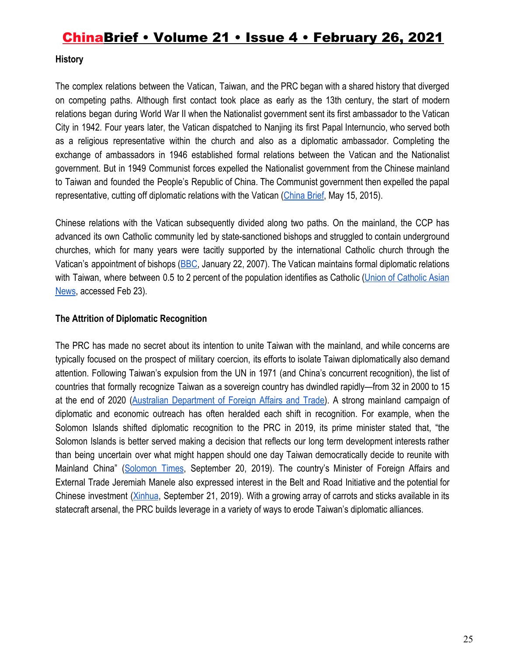#### **History**

The complex relations between the Vatican, Taiwan, and the PRC began with a shared history that diverged on competing paths. Although first contact took place as early as the 13th century, the start of modern relations began during World War II when the Nationalist government sent its first ambassador to the Vatican City in 1942. Four years later, the Vatican dispatched to Nanjing its first Papal Internuncio, who served both as a religious representative within the church and also as a diplomatic ambassador. Completing the exchange of ambassadors in 1946 established formal relations between the Vatican and the Nationalist government. But in 1949 Communist forces expelled the Nationalist government from the Chinese mainland to Taiwan and founded the People's Republic of China. The Communist government then expelled the papal representative, cutting off diplomatic relations with the Vatican ([China Brief,](https://jamestown.org/program/chinas-two-track-approach-to-christianity-vatican-vs-wenzhou/) May 15, 2015).

Chinese relations with the Vatican subsequently divided along two paths. On the mainland, the CCP has advanced its own Catholic community led by state-sanctioned bishops and struggled to contain underground churches, which for many years were tacitly supported by the international Catholic church through the Vatican's appointment of bishops [\(BBC](http://news.bbc.co.uk/2/hi/asia-pacific/6286353.stm), January 22, 2007). The Vatican maintains formal diplomatic relations with Taiwan, where between 0.5 to 2 percent of the population identifies as Catholic (Union of [Catholic](https://www.ucanews.com/directory/country/taiwan/29) Asian [News,](https://www.ucanews.com/directory/country/taiwan/29) accessed Feb 23).

#### **The Attrition of Diplomatic Recognition**

The PRC has made no secret about its intention to unite Taiwan with the mainland, and while concerns are typically focused on the prospect of military coercion, its efforts to isolate Taiwan diplomatically also demand attention. Following Taiwan's expulsion from the UN in 1971 (and China's concurrent recognition), the list of countries that formally recognize Taiwan as a sovereign country has dwindled rapidly—from 32 in 2000 to 15 at the end of 2020 (Australian [Department](https://www.dfat.gov.au/geo/taiwan/Pages/australia-taiwan-relationship#:~:text=Currently%20fifteen%20states%20recognise%20Taiwan,the%20Grenadines%2C%20Swaziland%20and%20Tuvalu) of Foreign Affairs and Trade). A strong mainland campaign of diplomatic and economic outreach has often heralded each shift in recognition. For example, when the Solomon Islands shifted diplomatic recognition to the PRC in 2019, its prime minister stated that, "the Solomon Islands is better served making a decision that reflects our long term development interests rather than being uncertain over what might happen should one day Taiwan democratically decide to reunite with Mainland China" ([Solomon](https://www.solomontimes.com/news/statement-by-the-prime-minister-hon-manasseh-sogavare-on-switch-to-china/9362) Times, September 20, 2019). The country's Minister of Foreign Affairs and External Trade Jeremiah Manele also expressed interest in the Belt and Road Initiative and the potential for Chinese investment ([Xinhua](http://www.xinhuanet.com/english/2019-09/21/c_138411016.htm), September 21, 2019). With a growing array of carrots and sticks available in its statecraft arsenal, the PRC builds leverage in a variety of ways to erode Taiwan's diplomatic alliances.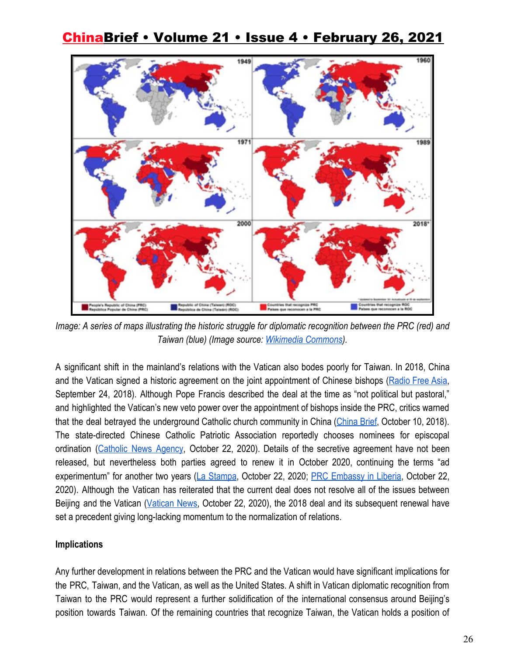

*Image: A series of maps illustrating the historic struggle for diplomatic recognition between the PRC (red) and Taiwan (blue) (Image source: [Wikimedia Commons\)](https://en.wikipedia.org/wiki/Foreign_relations_of_Taiwan#/media/File:China_vs_Taiwan,_global_struggle_for_recognition.png).*

A significant shift in the mainland's relations with the Vatican also bodes poorly for Taiwan. In 2018, China and the Vatican signed a historic agreement on the joint appointment of Chinese bishops ([Radio](https://www.rfa.org/english/news/china/agreement-09242018130857.html) Free Asia, September 24, 2018). Although Pope Francis described the deal at the time as "not political but pastoral," and highlighted the Vatican's new veto power over the appointment of bishops inside the PRC, critics warned that the deal betrayed the underground Catholic church community in China [\(China](https://jamestown.org/program/vatican-agreement-latest-front-in-xis-widening-religious-clampdown/) Brief, October 10, 2018). The state-directed Chinese Catholic Patriotic Association reportedly chooses nominees for episcopal ordination [\(Catholic](https://www.catholicnewsagency.com/news/where-chinas-bishops-stand-as-the-sino-vatican-deal-is-renewed-25725) News Agency, October 22, 2020). Details of the secretive agreement have not been released, but nevertheless both parties agreed to renew it in October 2020, continuing the terms "ad experimentum" for another two years (La [Stampa,](https://www.lastampa.it/vatican-insider/it/2020/10/21/news/cina-santa-sede-parolin-con-l-accordo-non-ci-sono-piu-vescovi-illegittimi-tutti-in-comunione-con-il-papa-1.39443662) October 22, 2020[;](http://lr.china-embassy.org/eng/fyrth/t1825951.htm) PRC [Embassy](http://lr.china-embassy.org/eng/fyrth/t1825951.htm) in Liberia, October 22, 2020). Although the Vatican has reiterated that the current deal does not resolve all of the issues between Beijing and the Vatican ([Vatican](https://www.vaticannews.va/it/vaticano/news/2020-10/accordo-santa-sede-cina-rinnovo.html) News, October 22, 2020), the 2018 deal and its subsequent renewal have set a precedent giving long-lacking momentum to the normalization of relations.

#### **Implications**

Any further development in relations between the PRC and the Vatican would have significant implications for the PRC, Taiwan, and the Vatican, as well as the United States. A shift in Vatican diplomatic recognition from Taiwan to the PRC would represent a further solidification of the international consensus around Beijing's position towards Taiwan. Of the remaining countries that recognize Taiwan, the Vatican holds a position of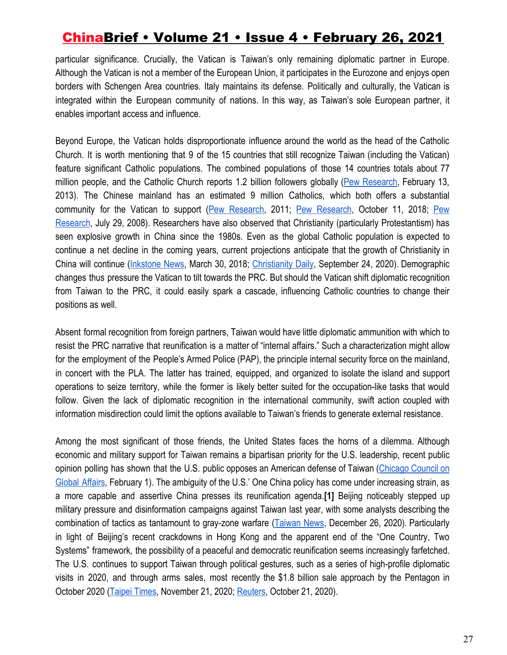particular significance. Crucially, the Vatican is Taiwan's only remaining diplomatic partner in Europe. Although the Vatican is not a member of the European Union, it participates in the Eurozone and enjoys open borders with Schengen Area countries. Italy maintains its defense. Politically and culturally, the Vatican is integrated within the European community of nations. In this way, as Taiwan's sole European partner, it enables important access and influence.

Beyond Europe, the Vatican holds disproportionate influence around the world as the head of the Catholic Church. It is worth mentioning that 9 of the 15 countries that still recognize Taiwan (including the Vatican) feature significant Catholic populations. The combined populations of those 14 countries totals about 77 million people, and the Catholic Church reports 1.2 billion followers globally (Pew [Research,](https://www.pewforum.org/2013/02/13/the-global-catholic-population/) February 13, 2013). The Chinese mainland has an estimated 9 million Catholics, which both offers a substantial community for the Vatican to support (Pew [Research,](https://www.pewresearch.org/wp-content/uploads/sites/7/2011/12/ChristianityAppendixC.pdf) 2011; [P](https://www.pewresearch.org/fact-tank/2018/10/11/recent-chinese-dealings-with-faith-groups-reflect-a-pattern-of-government-restrictions-on-religion/)ew [Research](https://www.pewresearch.org/fact-tank/2018/10/11/recent-chinese-dealings-with-faith-groups-reflect-a-pattern-of-government-restrictions-on-religion/), October 11, 2018; [Pew](https://www.pewresearch.org/fact-tank/2008/07/29/religious-in-china/) [Research](https://www.pewresearch.org/fact-tank/2008/07/29/religious-in-china/), July 29, 2008). Researchers have also observed that Christianity (particularly Protestantism) has seen explosive growth in China since the 1980s. Even as the global Catholic population is expected to continue a net decline in the coming years, current projections anticipate that the growth of Christianity in China will continue ([Inkstone](https://www.inkstonenews.com/china/christianity-protestant-church/article/2133812) News, March 30, 2018; [Christianity](http://www.christianitydaily.com/articles/9891/20200924/the-growth-of-protestant-christianity-in-china-continues-to-increase-despite-communist-oversight.htm) Daily, September 24, 2020). Demographic changes thus pressure the Vatican to tilt towards the PRC. But should the Vatican shift diplomatic recognition from Taiwan to the PRC, it could easily spark a cascade, influencing Catholic countries to change their positions as well.

Absent formal recognition from foreign partners, Taiwan would have little diplomatic ammunition with which to resist the PRC narrative that reunification is a matter of "internal affairs." Such a characterization might allow for the employment of the People's Armed Police (PAP), the principle internal security force on the mainland, in concert with the PLA. The latter has trained, equipped, and organized to isolate the island and support operations to seize territory, while the former is likely better suited for the occupation-like tasks that would follow. Given the lack of diplomatic recognition in the international community, swift action coupled with information misdirection could limit the options available to Taiwan's friends to generate external resistance.

Among the most significant of those friends, the United States faces the horns of a dilemma. Although economic and military support for Taiwan remains a bipartisan priority for the U.S. leadership, recent public opinion polling has shown that the U.S. public opposes an American defense of Taiwan ([Chicago](https://www.thechicagocouncil.org/research/public-opinion-survey/divisions-us-china-policy-opinion-leaders-and-public) Council on [Global](https://www.thechicagocouncil.org/research/public-opinion-survey/divisions-us-china-policy-opinion-leaders-and-public) Affairs, February 1). The ambiguity of the U.S.' One China policy has come under increasing strain, as a more capable and assertive China presses its reunification agenda.**[1]** Beijing noticeably stepped up military pressure and disinformation campaigns against Taiwan last year, with some analysts describing the combination of tactics as tantamount to gray-zone warfare ([Taiwan](https://www.taiwannews.com.tw/en/news/4084689) News, December 26, 2020). Particularly in light of Beijing's recent crackdowns in Hong Kong and the apparent end of the "One Country, Two Systems" framework, the possibility of a peaceful and democratic reunification seems increasingly farfetched. The U.S. continues to support Taiwan through political gestures, such as a series of high-profile diplomatic visits in 2020, and through arms sales, most recently the \$1.8 billion sale approach by the Pentagon in October 2020 ([Taipei Times,](https://www.taipeitimes.com/News/front/archives/2020/11/21/2003747302) November 21, 2020; [Reuters,](https://www.reuters.com/article/usa-taiwan-arms/u-s-state-department-approves-1-8-billion-in-potential-arms-sales-to-taiwan-pentagon-idUSKBN27706Y) October 21, 2020).